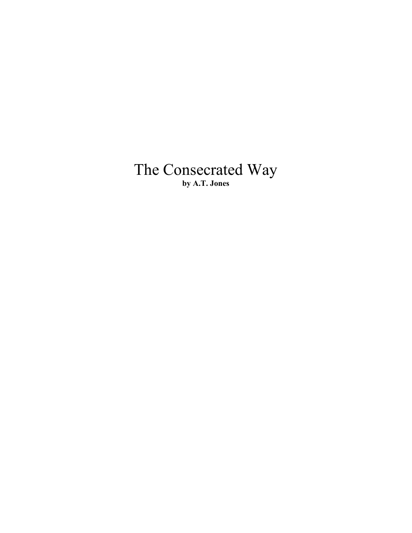# The Consecrated Way **by A.T. Jones**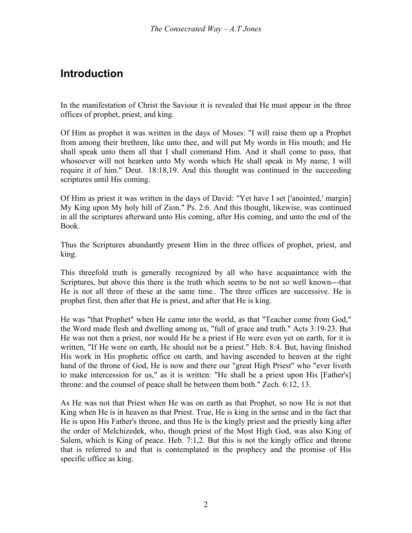#### **Introduction**

In the manifestation of Christ the Saviour it is revealed that He must appear in the three offices of prophet, priest, and king.

Of Him as prophet it was written in the days of Moses: "I will raise them up a Prophet from among their brethren, like unto thee, and will put My words in His mouth; and He shall speak unto them all that I shall command Him. And it shall come to pass, that whosoever will not hearken unto My words which He shall speak in My name, I will require it of him." Deut. 18:18,19. And this thought was continued in the succeeding scriptures until His coming.

Of Him as priest it was written in the days of David: "Yet have I set ['anointed,' margin] My King upon My holy hill of Zion." Ps. 2:6. And this thought, likewise, was continued in all the scriptures afterward unto His coming, after His coming, and unto the end of the Book.

Thus the Scriptures abundantly present Him in the three offices of prophet, priest, and king.

This threefold truth is generally recognized by all who have acquaintance with the Scriptures, but above this there is the truth which seems to be not so well known---that He is not all three of these at the same time.. The three offices are successive. He is prophet first, then after that He is priest, and after that He is king.

He was "that Prophet" when He came into the world, as that "Teacher come from God," the Word made flesh and dwelling among us, "full of grace and truth." Acts 3:19-23. But He was not then a priest, nor would He be a priest if He were even yet on earth, for it is written, "If He were on earth, He should not be a priest." Heb. 8:4. But, having finished His work in His prophetic office on earth, and having ascended to heaven at the right hand of the throne of God, He is now and there our "great High Priest" who "ever liveth to make intercession for us," as it is written: "He shall be a priest upon His [Father's] throne: and the counsel of peace shall be between them both." Zech. 6:12, 13.

As He was not that Priest when He was on earth as that Prophet, so now He is not that King when He is in heaven as that Priest. True, He is king in the sense and in the fact that He is upon His Father's throne, and thus He is the kingly priest and the priestly king after the order of Melchizedek, who, though priest of the Most High God, was also King of Salem, which is King of peace. Heb. 7:1,2. But this is not the kingly office and throne that is referred to and that is contemplated in the prophecy and the promise of His specific office as king.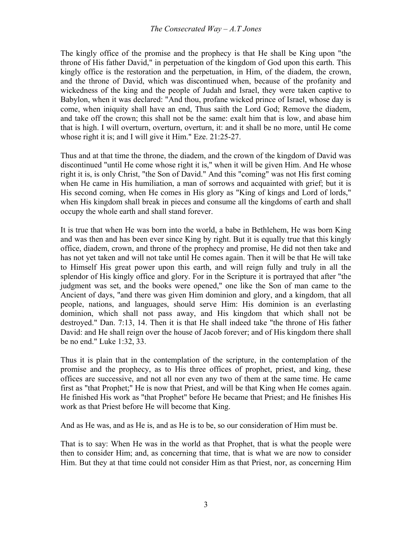The kingly office of the promise and the prophecy is that He shall be King upon "the throne of His father David," in perpetuation of the kingdom of God upon this earth. This kingly office is the restoration and the perpetuation, in Him, of the diadem, the crown, and the throne of David, which was discontinued when, because of the profanity and wickedness of the king and the people of Judah and Israel, they were taken captive to Babylon, when it was declared: "And thou, profane wicked prince of Israel, whose day is come, when iniquity shall have an end, Thus saith the Lord God; Remove the diadem, and take off the crown; this shall not be the same: exalt him that is low, and abase him that is high. I will overturn, overturn, overturn, it: and it shall be no more, until He come whose right it is; and I will give it Him." Eze. 21:25-27.

Thus and at that time the throne, the diadem, and the crown of the kingdom of David was discontinued "until He come whose right it is," when it will be given Him. And He whose right it is, is only Christ, "the Son of David." And this "coming" was not His first coming when He came in His humiliation, a man of sorrows and acquainted with grief; but it is His second coming, when He comes in His glory as "King of kings and Lord of lords," when His kingdom shall break in pieces and consume all the kingdoms of earth and shall occupy the whole earth and shall stand forever.

It is true that when He was born into the world, a babe in Bethlehem, He was born King and was then and has been ever since King by right. But it is equally true that this kingly office, diadem, crown, and throne of the prophecy and promise, He did not then take and has not yet taken and will not take until He comes again. Then it will be that He will take to Himself His great power upon this earth, and will reign fully and truly in all the splendor of His kingly office and glory. For in the Scripture it is portrayed that after "the judgment was set, and the books were opened," one like the Son of man came to the Ancient of days, "and there was given Him dominion and glory, and a kingdom, that all people, nations, and languages, should serve Him: His dominion is an everlasting dominion, which shall not pass away, and His kingdom that which shall not be destroyed." Dan. 7:13, 14. Then it is that He shall indeed take "the throne of His father David: and He shall reign over the house of Jacob forever; and of His kingdom there shall be no end." Luke 1:32, 33.

Thus it is plain that in the contemplation of the scripture, in the contemplation of the promise and the prophecy, as to His three offices of prophet, priest, and king, these offices are successive, and not all nor even any two of them at the same time. He came first as "that Prophet;" He is now that Priest, and will be that King when He comes again. He finished His work as "that Prophet" before He became that Priest; and He finishes His work as that Priest before He will become that King.

And as He was, and as He is, and as He is to be, so our consideration of Him must be.

That is to say: When He was in the world as that Prophet, that is what the people were then to consider Him; and, as concerning that time, that is what we are now to consider Him. But they at that time could not consider Him as that Priest, nor, as concerning Him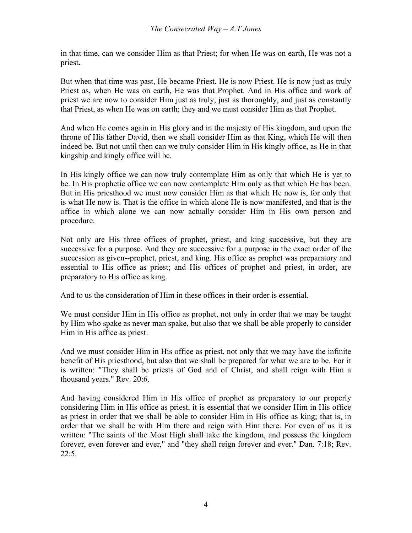in that time, can we consider Him as that Priest; for when He was on earth, He was not a priest.

But when that time was past, He became Priest. He is now Priest. He is now just as truly Priest as, when He was on earth, He was that Prophet. And in His office and work of priest we are now to consider Him just as truly, just as thoroughly, and just as constantly that Priest, as when He was on earth; they and we must consider Him as that Prophet.

And when He comes again in His glory and in the majesty of His kingdom, and upon the throne of His father David, then we shall consider Him as that King, which He will then indeed be. But not until then can we truly consider Him in His kingly office, as He in that kingship and kingly office will be.

In His kingly office we can now truly contemplate Him as only that which He is yet to be. In His prophetic office we can now contemplate Him only as that which He has been. But in His priesthood we must now consider Him as that which He now is, for only that is what He now is. That is the office in which alone He is now manifested, and that is the office in which alone we can now actually consider Him in His own person and procedure.

Not only are His three offices of prophet, priest, and king successive, but they are successive for a purpose. And they are successive for a purpose in the exact order of the succession as given--prophet, priest, and king. His office as prophet was preparatory and essential to His office as priest; and His offices of prophet and priest, in order, are preparatory to His office as king.

And to us the consideration of Him in these offices in their order is essential.

We must consider Him in His office as prophet, not only in order that we may be taught by Him who spake as never man spake, but also that we shall be able properly to consider Him in His office as priest.

And we must consider Him in His office as priest, not only that we may have the infinite benefit of His priesthood, but also that we shall be prepared for what we are to be. For it is written: "They shall be priests of God and of Christ, and shall reign with Him a thousand years." Rev. 20:6.

And having considered Him in His office of prophet as preparatory to our properly considering Him in His office as priest, it is essential that we consider Him in His office as priest in order that we shall be able to consider Him in His office as king; that is, in order that we shall be with Him there and reign with Him there. For even of us it is written: "The saints of the Most High shall take the kingdom, and possess the kingdom forever, even forever and ever," and "they shall reign forever and ever." Dan. 7:18; Rev. 22:5.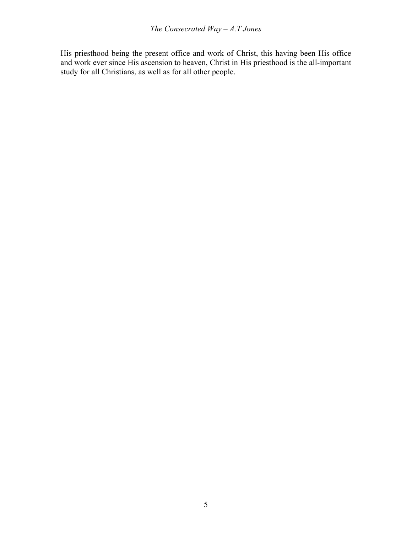His priesthood being the present office and work of Christ, this having been His office and work ever since His ascension to heaven, Christ in His priesthood is the all-important study for all Christians, as well as for all other people.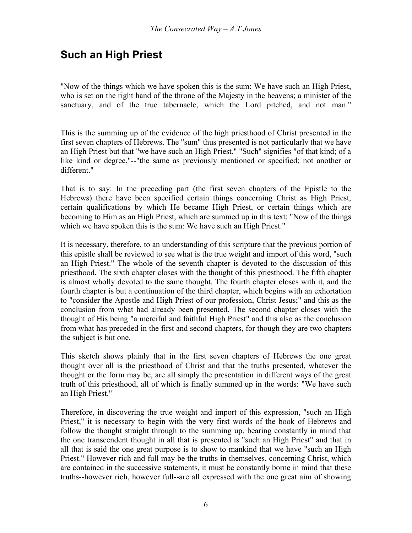## **Such an High Priest**

"Now of the things which we have spoken this is the sum: We have such an High Priest, who is set on the right hand of the throne of the Majesty in the heavens; a minister of the sanctuary, and of the true tabernacle, which the Lord pitched, and not man."

This is the summing up of the evidence of the high priesthood of Christ presented in the first seven chapters of Hebrews. The "sum" thus presented is not particularly that we have an High Priest but that "we have such an High Priest." "Such" signifies "of that kind; of a like kind or degree,"--"the same as previously mentioned or specified; not another or different."

That is to say: In the preceding part (the first seven chapters of the Epistle to the Hebrews) there have been specified certain things concerning Christ as High Priest, certain qualifications by which He became High Priest, or certain things which are becoming to Him as an High Priest, which are summed up in this text: "Now of the things which we have spoken this is the sum: We have such an High Priest."

It is necessary, therefore, to an understanding of this scripture that the previous portion of this epistle shall be reviewed to see what is the true weight and import of this word, "such an High Priest." The whole of the seventh chapter is devoted to the discussion of this priesthood. The sixth chapter closes with the thought of this priesthood. The fifth chapter is almost wholly devoted to the same thought. The fourth chapter closes with it, and the fourth chapter is but a continuation of the third chapter, which begins with an exhortation to "consider the Apostle and High Priest of our profession, Christ Jesus;" and this as the conclusion from what had already been presented. The second chapter closes with the thought of His being "a merciful and faithful High Priest" and this also as the conclusion from what has preceded in the first and second chapters, for though they are two chapters the subject is but one.

This sketch shows plainly that in the first seven chapters of Hebrews the one great thought over all is the priesthood of Christ and that the truths presented, whatever the thought or the form may be, are all simply the presentation in different ways of the great truth of this priesthood, all of which is finally summed up in the words: "We have such an High Priest."

Therefore, in discovering the true weight and import of this expression, "such an High Priest," it is necessary to begin with the very first words of the book of Hebrews and follow the thought straight through to the summing up, bearing constantly in mind that the one transcendent thought in all that is presented is "such an High Priest" and that in all that is said the one great purpose is to show to mankind that we have "such an High Priest." However rich and full may be the truths in themselves, concerning Christ, which are contained in the successive statements, it must be constantly borne in mind that these truths--however rich, however full--are all expressed with the one great aim of showing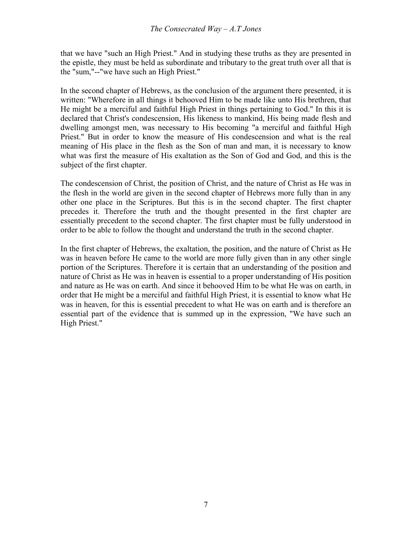that we have "such an High Priest." And in studying these truths as they are presented in the epistle, they must be held as subordinate and tributary to the great truth over all that is the "sum,"--"we have such an High Priest."

In the second chapter of Hebrews, as the conclusion of the argument there presented, it is written: "Wherefore in all things it behooved Him to be made like unto His brethren, that He might be a merciful and faithful High Priest in things pertaining to God." In this it is declared that Christ's condescension, His likeness to mankind, His being made flesh and dwelling amongst men, was necessary to His becoming "a merciful and faithful High Priest." But in order to know the measure of His condescension and what is the real meaning of His place in the flesh as the Son of man and man, it is necessary to know what was first the measure of His exaltation as the Son of God and God, and this is the subject of the first chapter.

The condescension of Christ, the position of Christ, and the nature of Christ as He was in the flesh in the world are given in the second chapter of Hebrews more fully than in any other one place in the Scriptures. But this is in the second chapter. The first chapter precedes it. Therefore the truth and the thought presented in the first chapter are essentially precedent to the second chapter. The first chapter must be fully understood in order to be able to follow the thought and understand the truth in the second chapter.

In the first chapter of Hebrews, the exaltation, the position, and the nature of Christ as He was in heaven before He came to the world are more fully given than in any other single portion of the Scriptures. Therefore it is certain that an understanding of the position and nature of Christ as He was in heaven is essential to a proper understanding of His position and nature as He was on earth. And since it behooved Him to be what He was on earth, in order that He might be a merciful and faithful High Priest, it is essential to know what He was in heaven, for this is essential precedent to what He was on earth and is therefore an essential part of the evidence that is summed up in the expression, "We have such an High Priest."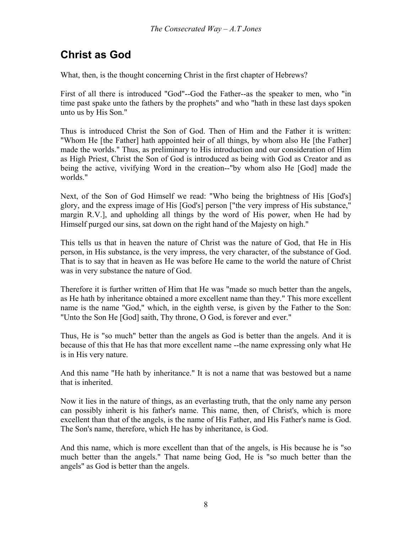# **Christ as God**

What, then, is the thought concerning Christ in the first chapter of Hebrews?

First of all there is introduced "God"--God the Father--as the speaker to men, who "in time past spake unto the fathers by the prophets" and who "hath in these last days spoken unto us by His Son."

Thus is introduced Christ the Son of God. Then of Him and the Father it is written: "Whom He [the Father] hath appointed heir of all things, by whom also He [the Father] made the worlds." Thus, as preliminary to His introduction and our consideration of Him as High Priest, Christ the Son of God is introduced as being with God as Creator and as being the active, vivifying Word in the creation--"by whom also He [God] made the worlds."

Next, of the Son of God Himself we read: "Who being the brightness of His [God's] glory, and the express image of His [God's] person ["the very impress of His substance," margin R.V.], and upholding all things by the word of His power, when He had by Himself purged our sins, sat down on the right hand of the Majesty on high."

This tells us that in heaven the nature of Christ was the nature of God, that He in His person, in His substance, is the very impress, the very character, of the substance of God. That is to say that in heaven as He was before He came to the world the nature of Christ was in very substance the nature of God.

Therefore it is further written of Him that He was "made so much better than the angels, as He hath by inheritance obtained a more excellent name than they." This more excellent name is the name "God," which, in the eighth verse, is given by the Father to the Son: "Unto the Son He [God] saith, Thy throne, O God, is forever and ever."

Thus, He is "so much" better than the angels as God is better than the angels. And it is because of this that He has that more excellent name --the name expressing only what He is in His very nature.

And this name "He hath by inheritance." It is not a name that was bestowed but a name that is inherited.

Now it lies in the nature of things, as an everlasting truth, that the only name any person can possibly inherit is his father's name. This name, then, of Christ's, which is more excellent than that of the angels, is the name of His Father, and His Father's name is God. The Son's name, therefore, which He has by inheritance, is God.

And this name, which is more excellent than that of the angels, is His because he is "so much better than the angels." That name being God, He is "so much better than the angels" as God is better than the angels.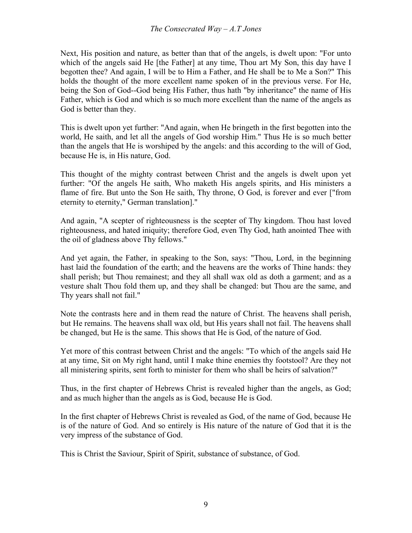Next, His position and nature, as better than that of the angels, is dwelt upon: "For unto which of the angels said He [the Father] at any time, Thou art My Son, this day have I begotten thee? And again, I will be to Him a Father, and He shall be to Me a Son?" This holds the thought of the more excellent name spoken of in the previous verse. For He, being the Son of God--God being His Father, thus hath "by inheritance" the name of His Father, which is God and which is so much more excellent than the name of the angels as God is better than they.

This is dwelt upon yet further: "And again, when He bringeth in the first begotten into the world, He saith, and let all the angels of God worship Him." Thus He is so much better than the angels that He is worshiped by the angels: and this according to the will of God, because He is, in His nature, God.

This thought of the mighty contrast between Christ and the angels is dwelt upon yet further: "Of the angels He saith, Who maketh His angels spirits, and His ministers a flame of fire. But unto the Son He saith, Thy throne, O God, is forever and ever ["from eternity to eternity," German translation]."

And again, "A scepter of righteousness is the scepter of Thy kingdom. Thou hast loved righteousness, and hated iniquity; therefore God, even Thy God, hath anointed Thee with the oil of gladness above Thy fellows."

And yet again, the Father, in speaking to the Son, says: "Thou, Lord, in the beginning hast laid the foundation of the earth; and the heavens are the works of Thine hands: they shall perish; but Thou remainest; and they all shall wax old as doth a garment; and as a vesture shalt Thou fold them up, and they shall be changed: but Thou are the same, and Thy years shall not fail."

Note the contrasts here and in them read the nature of Christ. The heavens shall perish, but He remains. The heavens shall wax old, but His years shall not fail. The heavens shall be changed, but He is the same. This shows that He is God, of the nature of God.

Yet more of this contrast between Christ and the angels: "To which of the angels said He at any time, Sit on My right hand, until I make thine enemies thy footstool? Are they not all ministering spirits, sent forth to minister for them who shall be heirs of salvation?"

Thus, in the first chapter of Hebrews Christ is revealed higher than the angels, as God; and as much higher than the angels as is God, because He is God.

In the first chapter of Hebrews Christ is revealed as God, of the name of God, because He is of the nature of God. And so entirely is His nature of the nature of God that it is the very impress of the substance of God.

This is Christ the Saviour, Spirit of Spirit, substance of substance, of God.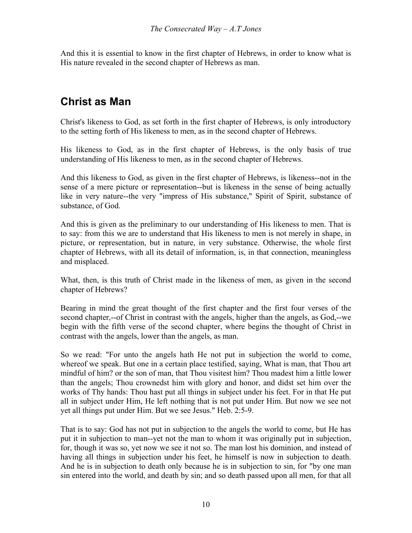And this it is essential to know in the first chapter of Hebrews, in order to know what is His nature revealed in the second chapter of Hebrews as man.

#### **Christ as Man**

Christ's likeness to God, as set forth in the first chapter of Hebrews, is only introductory to the setting forth of His likeness to men, as in the second chapter of Hebrews.

His likeness to God, as in the first chapter of Hebrews, is the only basis of true understanding of His likeness to men, as in the second chapter of Hebrews.

And this likeness to God, as given in the first chapter of Hebrews, is likeness--not in the sense of a mere picture or representation--but is likeness in the sense of being actually like in very nature--the very "impress of His substance," Spirit of Spirit, substance of substance, of God.

And this is given as the preliminary to our understanding of His likeness to men. That is to say: from this we are to understand that His likeness to men is not merely in shape, in picture, or representation, but in nature, in very substance. Otherwise, the whole first chapter of Hebrews, with all its detail of information, is, in that connection, meaningless and misplaced.

What, then, is this truth of Christ made in the likeness of men, as given in the second chapter of Hebrews?

Bearing in mind the great thought of the first chapter and the first four verses of the second chapter,--of Christ in contrast with the angels, higher than the angels, as God,--we begin with the fifth verse of the second chapter, where begins the thought of Christ in contrast with the angels, lower than the angels, as man.

So we read: "For unto the angels hath He not put in subjection the world to come, whereof we speak. But one in a certain place testified, saying, What is man, that Thou art mindful of him? or the son of man, that Thou visitest him? Thou madest him a little lower than the angels; Thou crownedst him with glory and honor, and didst set him over the works of Thy hands: Thou hast put all things in subject under his feet. For in that He put all in subject under Him, He left nothing that is not put under Him. But now we see not yet all things put under Him. But we see Jesus." Heb. 2:5-9.

That is to say: God has not put in subjection to the angels the world to come, but He has put it in subjection to man--yet not the man to whom it was originally put in subjection, for, though it was so, yet now we see it not so. The man lost his dominion, and instead of having all things in subjection under his feet, he himself is now in subjection to death. And he is in subjection to death only because he is in subjection to sin, for "by one man sin entered into the world, and death by sin; and so death passed upon all men, for that all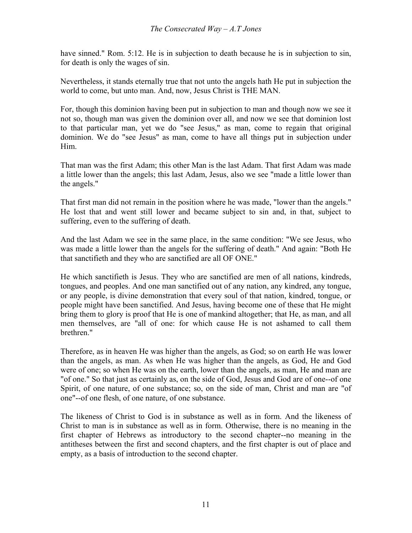have sinned." Rom. 5:12. He is in subjection to death because he is in subjection to sin, for death is only the wages of sin.

Nevertheless, it stands eternally true that not unto the angels hath He put in subjection the world to come, but unto man. And, now, Jesus Christ is THE MAN.

For, though this dominion having been put in subjection to man and though now we see it not so, though man was given the dominion over all, and now we see that dominion lost to that particular man, yet we do "see Jesus," as man, come to regain that original dominion. We do "see Jesus" as man, come to have all things put in subjection under Him.

That man was the first Adam; this other Man is the last Adam. That first Adam was made a little lower than the angels; this last Adam, Jesus, also we see "made a little lower than the angels."

That first man did not remain in the position where he was made, "lower than the angels." He lost that and went still lower and became subject to sin and, in that, subject to suffering, even to the suffering of death.

And the last Adam we see in the same place, in the same condition: "We see Jesus, who was made a little lower than the angels for the suffering of death." And again: "Both He that sanctifieth and they who are sanctified are all OF ONE."

He which sanctifieth is Jesus. They who are sanctified are men of all nations, kindreds, tongues, and peoples. And one man sanctified out of any nation, any kindred, any tongue, or any people, is divine demonstration that every soul of that nation, kindred, tongue, or people might have been sanctified. And Jesus, having become one of these that He might bring them to glory is proof that He is one of mankind altogether; that He, as man, and all men themselves, are "all of one: for which cause He is not ashamed to call them brethren."

Therefore, as in heaven He was higher than the angels, as God; so on earth He was lower than the angels, as man. As when He was higher than the angels, as God, He and God were of one; so when He was on the earth, lower than the angels, as man, He and man are "of one." So that just as certainly as, on the side of God, Jesus and God are of one--of one Spirit, of one nature, of one substance; so, on the side of man, Christ and man are "of one"--of one flesh, of one nature, of one substance.

The likeness of Christ to God is in substance as well as in form. And the likeness of Christ to man is in substance as well as in form. Otherwise, there is no meaning in the first chapter of Hebrews as introductory to the second chapter--no meaning in the antitheses between the first and second chapters, and the first chapter is out of place and empty, as a basis of introduction to the second chapter.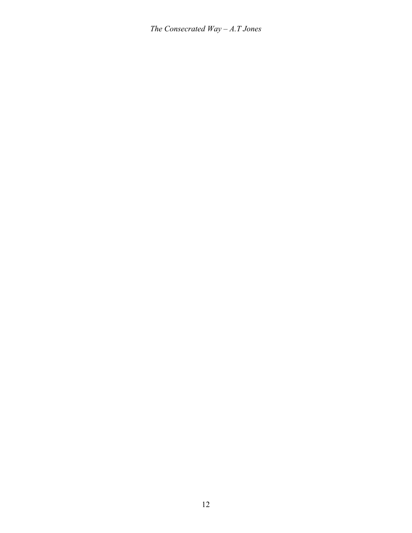*The Consecrated Way – A.T Jones*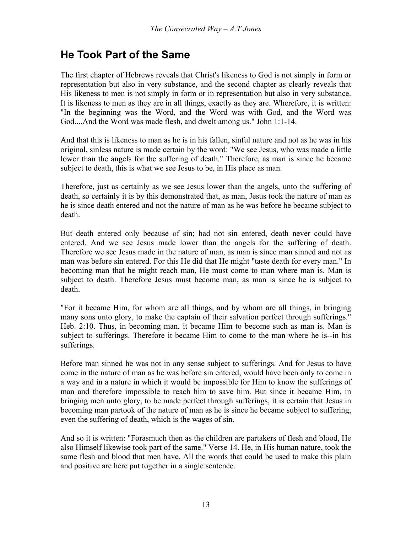#### **He Took Part of the Same**

The first chapter of Hebrews reveals that Christ's likeness to God is not simply in form or representation but also in very substance, and the second chapter as clearly reveals that His likeness to men is not simply in form or in representation but also in very substance. It is likeness to men as they are in all things, exactly as they are. Wherefore, it is written: "In the beginning was the Word, and the Word was with God, and the Word was God....And the Word was made flesh, and dwelt among us." John 1:1-14.

And that this is likeness to man as he is in his fallen, sinful nature and not as he was in his original, sinless nature is made certain by the word: "We see Jesus, who was made a little lower than the angels for the suffering of death." Therefore, as man is since he became subject to death, this is what we see Jesus to be, in His place as man.

Therefore, just as certainly as we see Jesus lower than the angels, unto the suffering of death, so certainly it is by this demonstrated that, as man, Jesus took the nature of man as he is since death entered and not the nature of man as he was before he became subject to death.

But death entered only because of sin; had not sin entered, death never could have entered. And we see Jesus made lower than the angels for the suffering of death. Therefore we see Jesus made in the nature of man, as man is since man sinned and not as man was before sin entered. For this He did that He might "taste death for every man." In becoming man that he might reach man, He must come to man where man is. Man is subject to death. Therefore Jesus must become man, as man is since he is subject to death.

"For it became Him, for whom are all things, and by whom are all things, in bringing many sons unto glory, to make the captain of their salvation perfect through sufferings." Heb. 2:10. Thus, in becoming man, it became Him to become such as man is. Man is subject to sufferings. Therefore it became Him to come to the man where he is--in his sufferings.

Before man sinned he was not in any sense subject to sufferings. And for Jesus to have come in the nature of man as he was before sin entered, would have been only to come in a way and in a nature in which it would be impossible for Him to know the sufferings of man and therefore impossible to reach him to save him. But since it became Him, in bringing men unto glory, to be made perfect through sufferings, it is certain that Jesus in becoming man partook of the nature of man as he is since he became subject to suffering, even the suffering of death, which is the wages of sin.

And so it is written: "Forasmuch then as the children are partakers of flesh and blood, He also Himself likewise took part of the same." Verse 14. He, in His human nature, took the same flesh and blood that men have. All the words that could be used to make this plain and positive are here put together in a single sentence.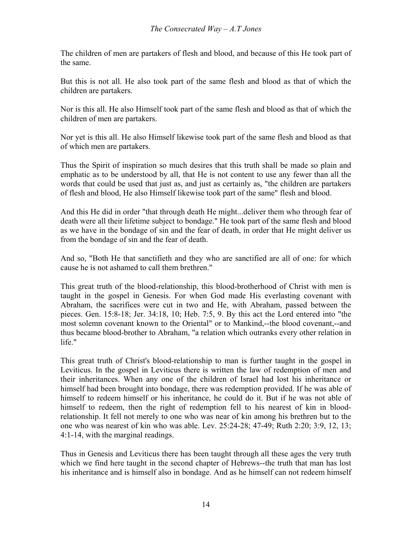The children of men are partakers of flesh and blood, and because of this He took part of the same.

But this is not all. He also took part of the same flesh and blood as that of which the children are partakers.

Nor is this all. He also Himself took part of the same flesh and blood as that of which the children of men are partakers.

Nor yet is this all. He also Himself likewise took part of the same flesh and blood as that of which men are partakers.

Thus the Spirit of inspiration so much desires that this truth shall be made so plain and emphatic as to be understood by all, that He is not content to use any fewer than all the words that could be used that just as, and just as certainly as, "the children are partakers of flesh and blood, He also Himself likewise took part of the same" flesh and blood.

And this He did in order "that through death He might...deliver them who through fear of death were all their lifetime subject to bondage." He took part of the same flesh and blood as we have in the bondage of sin and the fear of death, in order that He might deliver us from the bondage of sin and the fear of death.

And so, "Both He that sanctifieth and they who are sanctified are all of one: for which cause he is not ashamed to call them brethren."

This great truth of the blood-relationship, this blood-brotherhood of Christ with men is taught in the gospel in Genesis. For when God made His everlasting covenant with Abraham, the sacrifices were cut in two and He, with Abraham, passed between the pieces. Gen. 15:8-18; Jer. 34:18, 10; Heb. 7:5, 9. By this act the Lord entered into "the most solemn covenant known to the Oriental" or to Mankind,--the blood covenant,--and thus became blood-brother to Abraham, "a relation which outranks every other relation in life."

This great truth of Christ's blood-relationship to man is further taught in the gospel in Leviticus. In the gospel in Leviticus there is written the law of redemption of men and their inheritances. When any one of the children of Israel had lost his inheritance or himself had been brought into bondage, there was redemption provided. If he was able of himself to redeem himself or his inheritance, he could do it. But if he was not able of himself to redeem, then the right of redemption fell to his nearest of kin in bloodrelationship. It fell not merely to one who was near of kin among his brethren but to the one who was nearest of kin who was able. Lev. 25:24-28; 47-49; Ruth 2:20; 3:9, 12, 13; 4:1-14, with the marginal readings.

Thus in Genesis and Leviticus there has been taught through all these ages the very truth which we find here taught in the second chapter of Hebrews--the truth that man has lost his inheritance and is himself also in bondage. And as he himself can not redeem himself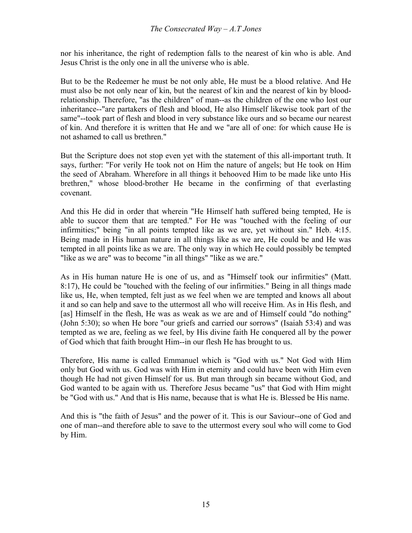nor his inheritance, the right of redemption falls to the nearest of kin who is able. And Jesus Christ is the only one in all the universe who is able.

But to be the Redeemer he must be not only able, He must be a blood relative. And He must also be not only near of kin, but the nearest of kin and the nearest of kin by bloodrelationship. Therefore, "as the children" of man--as the children of the one who lost our inheritance--"are partakers of flesh and blood, He also Himself likewise took part of the same"--took part of flesh and blood in very substance like ours and so became our nearest of kin. And therefore it is written that He and we "are all of one: for which cause He is not ashamed to call us brethren."

But the Scripture does not stop even yet with the statement of this all-important truth. It says, further: "For verily He took not on Him the nature of angels; but He took on Him the seed of Abraham. Wherefore in all things it behooved Him to be made like unto His brethren," whose blood-brother He became in the confirming of that everlasting covenant.

And this He did in order that wherein "He Himself hath suffered being tempted, He is able to succor them that are tempted." For He was "touched with the feeling of our infirmities;" being "in all points tempted like as we are, yet without sin." Heb. 4:15. Being made in His human nature in all things like as we are, He could be and He was tempted in all points like as we are. The only way in which He could possibly be tempted "like as we are" was to become "in all things" "like as we are."

As in His human nature He is one of us, and as "Himself took our infirmities" (Matt. 8:17), He could be "touched with the feeling of our infirmities." Being in all things made like us, He, when tempted, felt just as we feel when we are tempted and knows all about it and so can help and save to the uttermost all who will receive Him. As in His flesh, and [as] Himself in the flesh, He was as weak as we are and of Himself could "do nothing" (John 5:30); so when He bore "our griefs and carried our sorrows" (Isaiah 53:4) and was tempted as we are, feeling as we feel, by His divine faith He conquered all by the power of God which that faith brought Him--in our flesh He has brought to us.

Therefore, His name is called Emmanuel which is "God with us." Not God with Him only but God with us. God was with Him in eternity and could have been with Him even though He had not given Himself for us. But man through sin became without God, and God wanted to be again with us. Therefore Jesus became "us" that God with Him might be "God with us." And that is His name, because that is what He is. Blessed be His name.

And this is "the faith of Jesus" and the power of it. This is our Saviour--one of God and one of man--and therefore able to save to the uttermost every soul who will come to God by Him.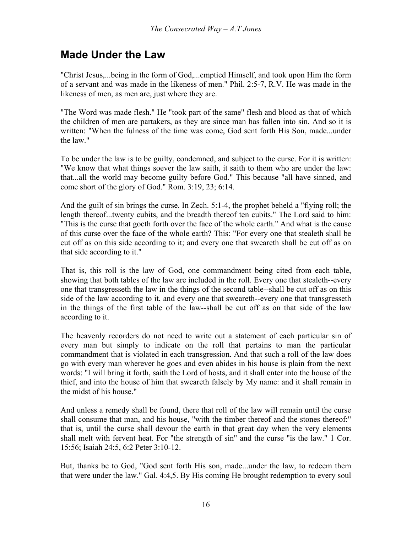#### **Made Under the Law**

"Christ Jesus,...being in the form of God,...emptied Himself, and took upon Him the form of a servant and was made in the likeness of men." Phil. 2:5-7, R.V. He was made in the likeness of men, as men are, just where they are.

"The Word was made flesh." He "took part of the same" flesh and blood as that of which the children of men are partakers, as they are since man has fallen into sin. And so it is written: "When the fulness of the time was come, God sent forth His Son, made...under the law."

To be under the law is to be guilty, condemned, and subject to the curse. For it is written: "We know that what things soever the law saith, it saith to them who are under the law: that...all the world may become guilty before God." This because "all have sinned, and come short of the glory of God." Rom. 3:19, 23; 6:14.

And the guilt of sin brings the curse. In Zech. 5:1-4, the prophet beheld a "flying roll; the length thereof...twenty cubits, and the breadth thereof ten cubits." The Lord said to him: "This is the curse that goeth forth over the face of the whole earth." And what is the cause of this curse over the face of the whole earth? This: "For every one that stealeth shall be cut off as on this side according to it; and every one that sweareth shall be cut off as on that side according to it."

That is, this roll is the law of God, one commandment being cited from each table, showing that both tables of the law are included in the roll. Every one that stealeth--every one that transgresseth the law in the things of the second table--shall be cut off as on this side of the law according to it, and every one that sweareth--every one that transgresseth in the things of the first table of the law--shall be cut off as on that side of the law according to it.

The heavenly recorders do not need to write out a statement of each particular sin of every man but simply to indicate on the roll that pertains to man the particular commandment that is violated in each transgression. And that such a roll of the law does go with every man wherever he goes and even abides in his house is plain from the next words: "I will bring it forth, saith the Lord of hosts, and it shall enter into the house of the thief, and into the house of him that sweareth falsely by My name: and it shall remain in the midst of his house."

And unless a remedy shall be found, there that roll of the law will remain until the curse shall consume that man, and his house, "with the timber thereof and the stones thereof:" that is, until the curse shall devour the earth in that great day when the very elements shall melt with fervent heat. For "the strength of sin" and the curse "is the law." 1 Cor. 15:56; Isaiah 24:5, 6:2 Peter 3:10-12.

But, thanks be to God, "God sent forth His son, made...under the law, to redeem them that were under the law." Gal. 4:4,5. By His coming He brought redemption to every soul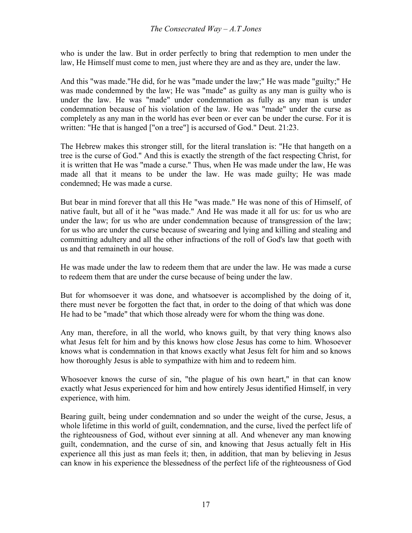who is under the law. But in order perfectly to bring that redemption to men under the law, He Himself must come to men, just where they are and as they are, under the law.

And this "was made."He did, for he was "made under the law;" He was made "guilty;" He was made condemned by the law; He was "made" as guilty as any man is guilty who is under the law. He was "made" under condemnation as fully as any man is under condemnation because of his violation of the law. He was "made" under the curse as completely as any man in the world has ever been or ever can be under the curse. For it is written: "He that is hanged ["on a tree"] is accursed of God." Deut. 21:23.

The Hebrew makes this stronger still, for the literal translation is: "He that hangeth on a tree is the curse of God." And this is exactly the strength of the fact respecting Christ, for it is written that He was "made a curse." Thus, when He was made under the law, He was made all that it means to be under the law. He was made guilty; He was made condemned; He was made a curse.

But bear in mind forever that all this He "was made." He was none of this of Himself, of native fault, but all of it he "was made." And He was made it all for us: for us who are under the law; for us who are under condemnation because of transgression of the law; for us who are under the curse because of swearing and lying and killing and stealing and committing adultery and all the other infractions of the roll of God's law that goeth with us and that remaineth in our house.

He was made under the law to redeem them that are under the law. He was made a curse to redeem them that are under the curse because of being under the law.

But for whomsoever it was done, and whatsoever is accomplished by the doing of it, there must never be forgotten the fact that, in order to the doing of that which was done He had to be "made" that which those already were for whom the thing was done.

Any man, therefore, in all the world, who knows guilt, by that very thing knows also what Jesus felt for him and by this knows how close Jesus has come to him. Whosoever knows what is condemnation in that knows exactly what Jesus felt for him and so knows how thoroughly Jesus is able to sympathize with him and to redeem him.

Whosoever knows the curse of sin, "the plague of his own heart," in that can know exactly what Jesus experienced for him and how entirely Jesus identified Himself, in very experience, with him.

Bearing guilt, being under condemnation and so under the weight of the curse, Jesus, a whole lifetime in this world of guilt, condemnation, and the curse, lived the perfect life of the righteousness of God, without ever sinning at all. And whenever any man knowing guilt, condemnation, and the curse of sin, and knowing that Jesus actually felt in His experience all this just as man feels it; then, in addition, that man by believing in Jesus can know in his experience the blessedness of the perfect life of the righteousness of God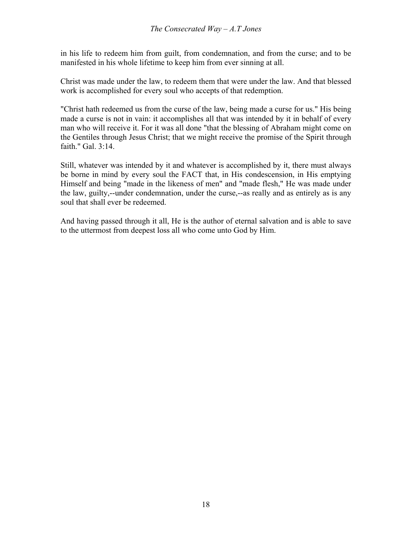in his life to redeem him from guilt, from condemnation, and from the curse; and to be manifested in his whole lifetime to keep him from ever sinning at all.

Christ was made under the law, to redeem them that were under the law. And that blessed work is accomplished for every soul who accepts of that redemption.

"Christ hath redeemed us from the curse of the law, being made a curse for us." His being made a curse is not in vain: it accomplishes all that was intended by it in behalf of every man who will receive it. For it was all done "that the blessing of Abraham might come on the Gentiles through Jesus Christ; that we might receive the promise of the Spirit through faith." Gal. 3:14.

Still, whatever was intended by it and whatever is accomplished by it, there must always be borne in mind by every soul the FACT that, in His condescension, in His emptying Himself and being "made in the likeness of men" and "made flesh," He was made under the law, guilty,--under condemnation, under the curse,--as really and as entirely as is any soul that shall ever be redeemed.

And having passed through it all, He is the author of eternal salvation and is able to save to the uttermost from deepest loss all who come unto God by Him.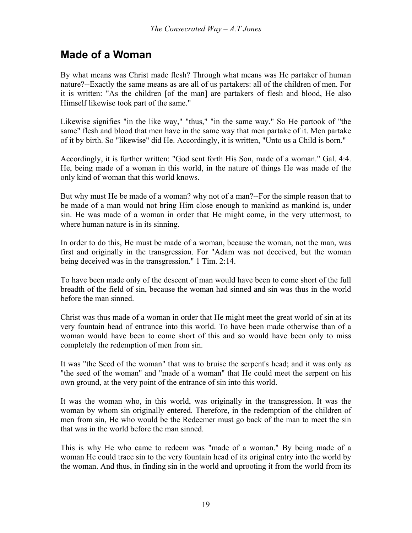## **Made of a Woman**

By what means was Christ made flesh? Through what means was He partaker of human nature?--Exactly the same means as are all of us partakers: all of the children of men. For it is written: "As the children [of the man] are partakers of flesh and blood, He also Himself likewise took part of the same."

Likewise signifies "in the like way," "thus," "in the same way." So He partook of "the same" flesh and blood that men have in the same way that men partake of it. Men partake of it by birth. So "likewise" did He. Accordingly, it is written, "Unto us a Child is born."

Accordingly, it is further written: "God sent forth His Son, made of a woman." Gal. 4:4. He, being made of a woman in this world, in the nature of things He was made of the only kind of woman that this world knows.

But why must He be made of a woman? why not of a man?--For the simple reason that to be made of a man would not bring Him close enough to mankind as mankind is, under sin. He was made of a woman in order that He might come, in the very uttermost, to where human nature is in its sinning.

In order to do this, He must be made of a woman, because the woman, not the man, was first and originally in the transgression. For "Adam was not deceived, but the woman being deceived was in the transgression." 1 Tim. 2:14.

To have been made only of the descent of man would have been to come short of the full breadth of the field of sin, because the woman had sinned and sin was thus in the world before the man sinned.

Christ was thus made of a woman in order that He might meet the great world of sin at its very fountain head of entrance into this world. To have been made otherwise than of a woman would have been to come short of this and so would have been only to miss completely the redemption of men from sin.

It was "the Seed of the woman" that was to bruise the serpent's head; and it was only as "the seed of the woman" and "made of a woman" that He could meet the serpent on his own ground, at the very point of the entrance of sin into this world.

It was the woman who, in this world, was originally in the transgression. It was the woman by whom sin originally entered. Therefore, in the redemption of the children of men from sin, He who would be the Redeemer must go back of the man to meet the sin that was in the world before the man sinned.

This is why He who came to redeem was "made of a woman." By being made of a woman He could trace sin to the very fountain head of its original entry into the world by the woman. And thus, in finding sin in the world and uprooting it from the world from its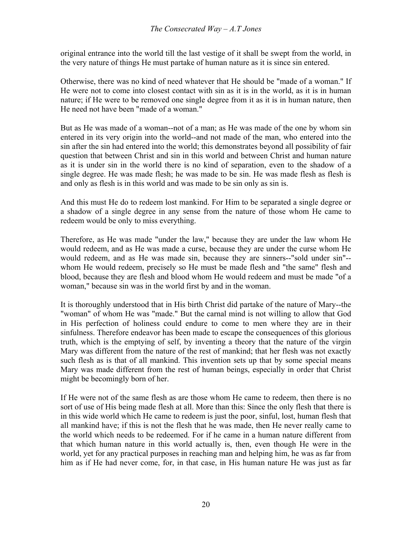original entrance into the world till the last vestige of it shall be swept from the world, in the very nature of things He must partake of human nature as it is since sin entered.

Otherwise, there was no kind of need whatever that He should be "made of a woman." If He were not to come into closest contact with sin as it is in the world, as it is in human nature; if He were to be removed one single degree from it as it is in human nature, then He need not have been "made of a woman."

But as He was made of a woman--not of a man; as He was made of the one by whom sin entered in its very origin into the world--and not made of the man, who entered into the sin after the sin had entered into the world; this demonstrates beyond all possibility of fair question that between Christ and sin in this world and between Christ and human nature as it is under sin in the world there is no kind of separation, even to the shadow of a single degree. He was made flesh; he was made to be sin. He was made flesh as flesh is and only as flesh is in this world and was made to be sin only as sin is.

And this must He do to redeem lost mankind. For Him to be separated a single degree or a shadow of a single degree in any sense from the nature of those whom He came to redeem would be only to miss everything.

Therefore, as He was made "under the law," because they are under the law whom He would redeem, and as He was made a curse, because they are under the curse whom He would redeem, and as He was made sin, because they are sinners--"sold under sin"- whom He would redeem, precisely so He must be made flesh and "the same" flesh and blood, because they are flesh and blood whom He would redeem and must be made "of a woman," because sin was in the world first by and in the woman.

It is thoroughly understood that in His birth Christ did partake of the nature of Mary--the "woman" of whom He was "made." But the carnal mind is not willing to allow that God in His perfection of holiness could endure to come to men where they are in their sinfulness. Therefore endeavor has been made to escape the consequences of this glorious truth, which is the emptying of self, by inventing a theory that the nature of the virgin Mary was different from the nature of the rest of mankind; that her flesh was not exactly such flesh as is that of all mankind. This invention sets up that by some special means Mary was made different from the rest of human beings, especially in order that Christ might be becomingly born of her.

If He were not of the same flesh as are those whom He came to redeem, then there is no sort of use of His being made flesh at all. More than this: Since the only flesh that there is in this wide world which He came to redeem is just the poor, sinful, lost, human flesh that all mankind have; if this is not the flesh that he was made, then He never really came to the world which needs to be redeemed. For if he came in a human nature different from that which human nature in this world actually is, then, even though He were in the world, yet for any practical purposes in reaching man and helping him, he was as far from him as if He had never come, for, in that case, in His human nature He was just as far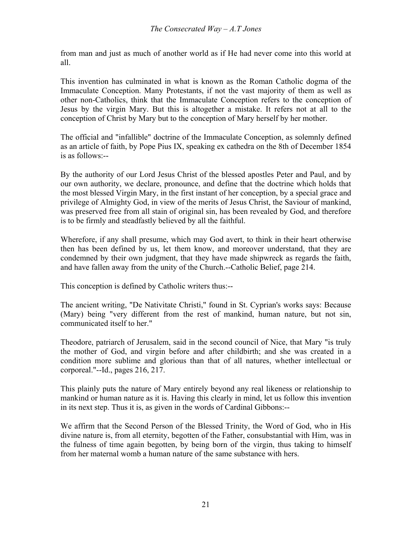from man and just as much of another world as if He had never come into this world at all.

This invention has culminated in what is known as the Roman Catholic dogma of the Immaculate Conception. Many Protestants, if not the vast majority of them as well as other non-Catholics, think that the Immaculate Conception refers to the conception of Jesus by the virgin Mary. But this is altogether a mistake. It refers not at all to the conception of Christ by Mary but to the conception of Mary herself by her mother.

The official and "infallible" doctrine of the Immaculate Conception, as solemnly defined as an article of faith, by Pope Pius IX, speaking ex cathedra on the 8th of December 1854 is as follows:--

By the authority of our Lord Jesus Christ of the blessed apostles Peter and Paul, and by our own authority, we declare, pronounce, and define that the doctrine which holds that the most blessed Virgin Mary, in the first instant of her conception, by a special grace and privilege of Almighty God, in view of the merits of Jesus Christ, the Saviour of mankind, was preserved free from all stain of original sin, has been revealed by God, and therefore is to be firmly and steadfastly believed by all the faithful.

Wherefore, if any shall presume, which may God avert, to think in their heart otherwise then has been defined by us, let them know, and moreover understand, that they are condemned by their own judgment, that they have made shipwreck as regards the faith, and have fallen away from the unity of the Church.--Catholic Belief, page 214.

This conception is defined by Catholic writers thus:--

The ancient writing, "De Nativitate Christi," found in St. Cyprian's works says: Because (Mary) being "very different from the rest of mankind, human nature, but not sin, communicated itself to her."

Theodore, patriarch of Jerusalem, said in the second council of Nice, that Mary "is truly the mother of God, and virgin before and after childbirth; and she was created in a condition more sublime and glorious than that of all natures, whether intellectual or corporeal."--Id., pages 216, 217.

This plainly puts the nature of Mary entirely beyond any real likeness or relationship to mankind or human nature as it is. Having this clearly in mind, let us follow this invention in its next step. Thus it is, as given in the words of Cardinal Gibbons:--

We affirm that the Second Person of the Blessed Trinity, the Word of God, who in His divine nature is, from all eternity, begotten of the Father, consubstantial with Him, was in the fulness of time again begotten, by being born of the virgin, thus taking to himself from her maternal womb a human nature of the same substance with hers.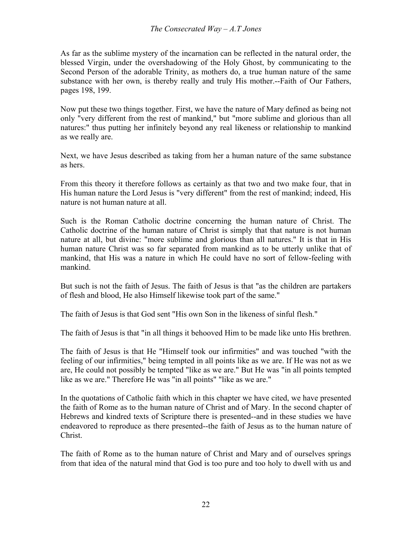As far as the sublime mystery of the incarnation can be reflected in the natural order, the blessed Virgin, under the overshadowing of the Holy Ghost, by communicating to the Second Person of the adorable Trinity, as mothers do, a true human nature of the same substance with her own, is thereby really and truly His mother.--Faith of Our Fathers, pages 198, 199.

Now put these two things together. First, we have the nature of Mary defined as being not only "very different from the rest of mankind," but "more sublime and glorious than all natures:" thus putting her infinitely beyond any real likeness or relationship to mankind as we really are.

Next, we have Jesus described as taking from her a human nature of the same substance as hers.

From this theory it therefore follows as certainly as that two and two make four, that in His human nature the Lord Jesus is "very different" from the rest of mankind; indeed, His nature is not human nature at all.

Such is the Roman Catholic doctrine concerning the human nature of Christ. The Catholic doctrine of the human nature of Christ is simply that that nature is not human nature at all, but divine: "more sublime and glorious than all natures." It is that in His human nature Christ was so far separated from mankind as to be utterly unlike that of mankind, that His was a nature in which He could have no sort of fellow-feeling with mankind.

But such is not the faith of Jesus. The faith of Jesus is that "as the children are partakers of flesh and blood, He also Himself likewise took part of the same."

The faith of Jesus is that God sent "His own Son in the likeness of sinful flesh."

The faith of Jesus is that "in all things it behooved Him to be made like unto His brethren.

The faith of Jesus is that He "Himself took our infirmities" and was touched "with the feeling of our infirmities," being tempted in all points like as we are. If He was not as we are, He could not possibly be tempted "like as we are." But He was "in all points tempted like as we are." Therefore He was "in all points" "like as we are."

In the quotations of Catholic faith which in this chapter we have cited, we have presented the faith of Rome as to the human nature of Christ and of Mary. In the second chapter of Hebrews and kindred texts of Scripture there is presented--and in these studies we have endeavored to reproduce as there presented--the faith of Jesus as to the human nature of Christ.

The faith of Rome as to the human nature of Christ and Mary and of ourselves springs from that idea of the natural mind that God is too pure and too holy to dwell with us and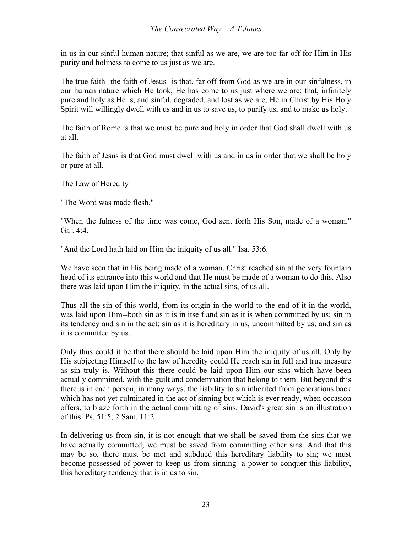in us in our sinful human nature; that sinful as we are, we are too far off for Him in His purity and holiness to come to us just as we are.

The true faith--the faith of Jesus--is that, far off from God as we are in our sinfulness, in our human nature which He took, He has come to us just where we are; that, infinitely pure and holy as He is, and sinful, degraded, and lost as we are, He in Christ by His Holy Spirit will willingly dwell with us and in us to save us, to purify us, and to make us holy.

The faith of Rome is that we must be pure and holy in order that God shall dwell with us at all.

The faith of Jesus is that God must dwell with us and in us in order that we shall be holy or pure at all.

The Law of Heredity

"The Word was made flesh."

"When the fulness of the time was come, God sent forth His Son, made of a woman." Gal. 4:4.

"And the Lord hath laid on Him the iniquity of us all." Isa. 53:6.

We have seen that in His being made of a woman, Christ reached sin at the very fountain head of its entrance into this world and that He must be made of a woman to do this. Also there was laid upon Him the iniquity, in the actual sins, of us all.

Thus all the sin of this world, from its origin in the world to the end of it in the world, was laid upon Him--both sin as it is in itself and sin as it is when committed by us; sin in its tendency and sin in the act: sin as it is hereditary in us, uncommitted by us; and sin as it is committed by us.

Only thus could it be that there should be laid upon Him the iniquity of us all. Only by His subjecting Himself to the law of heredity could He reach sin in full and true measure as sin truly is. Without this there could be laid upon Him our sins which have been actually committed, with the guilt and condemnation that belong to them. But beyond this there is in each person, in many ways, the liability to sin inherited from generations back which has not yet culminated in the act of sinning but which is ever ready, when occasion offers, to blaze forth in the actual committing of sins. David's great sin is an illustration of this. Ps. 51:5; 2 Sam. 11:2.

In delivering us from sin, it is not enough that we shall be saved from the sins that we have actually committed; we must be saved from committing other sins. And that this may be so, there must be met and subdued this hereditary liability to sin; we must become possessed of power to keep us from sinning--a power to conquer this liability, this hereditary tendency that is in us to sin.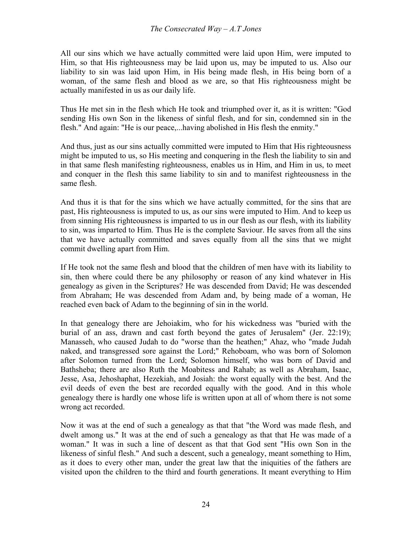All our sins which we have actually committed were laid upon Him, were imputed to Him, so that His righteousness may be laid upon us, may be imputed to us. Also our liability to sin was laid upon Him, in His being made flesh, in His being born of a woman, of the same flesh and blood as we are, so that His righteousness might be actually manifested in us as our daily life.

Thus He met sin in the flesh which He took and triumphed over it, as it is written: "God sending His own Son in the likeness of sinful flesh, and for sin, condemned sin in the flesh." And again: "He is our peace,...having abolished in His flesh the enmity."

And thus, just as our sins actually committed were imputed to Him that His righteousness might be imputed to us, so His meeting and conquering in the flesh the liability to sin and in that same flesh manifesting righteousness, enables us in Him, and Him in us, to meet and conquer in the flesh this same liability to sin and to manifest righteousness in the same flesh.

And thus it is that for the sins which we have actually committed, for the sins that are past, His righteousness is imputed to us, as our sins were imputed to Him. And to keep us from sinning His righteousness is imparted to us in our flesh as our flesh, with its liability to sin, was imparted to Him. Thus He is the complete Saviour. He saves from all the sins that we have actually committed and saves equally from all the sins that we might commit dwelling apart from Him.

If He took not the same flesh and blood that the children of men have with its liability to sin, then where could there be any philosophy or reason of any kind whatever in His genealogy as given in the Scriptures? He was descended from David; He was descended from Abraham; He was descended from Adam and, by being made of a woman, He reached even back of Adam to the beginning of sin in the world.

In that genealogy there are Jehoiakim, who for his wickedness was "buried with the burial of an ass, drawn and cast forth beyond the gates of Jerusalem" (Jer. 22:19); Manasseh, who caused Judah to do "worse than the heathen;" Ahaz, who "made Judah naked, and transgressed sore against the Lord;" Rehoboam, who was born of Solomon after Solomon turned from the Lord; Solomon himself, who was born of David and Bathsheba; there are also Ruth the Moabitess and Rahab; as well as Abraham, Isaac, Jesse, Asa, Jehoshaphat, Hezekiah, and Josiah: the worst equally with the best. And the evil deeds of even the best are recorded equally with the good. And in this whole genealogy there is hardly one whose life is written upon at all of whom there is not some wrong act recorded.

Now it was at the end of such a genealogy as that that "the Word was made flesh, and dwelt among us." It was at the end of such a genealogy as that that He was made of a woman." It was in such a line of descent as that that God sent "His own Son in the likeness of sinful flesh." And such a descent, such a genealogy, meant something to Him, as it does to every other man, under the great law that the iniquities of the fathers are visited upon the children to the third and fourth generations. It meant everything to Him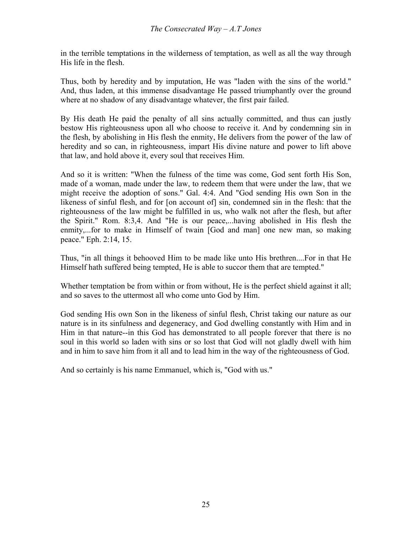in the terrible temptations in the wilderness of temptation, as well as all the way through His life in the flesh.

Thus, both by heredity and by imputation, He was "laden with the sins of the world." And, thus laden, at this immense disadvantage He passed triumphantly over the ground where at no shadow of any disadvantage whatever, the first pair failed.

By His death He paid the penalty of all sins actually committed, and thus can justly bestow His righteousness upon all who choose to receive it. And by condemning sin in the flesh, by abolishing in His flesh the enmity, He delivers from the power of the law of heredity and so can, in righteousness, impart His divine nature and power to lift above that law, and hold above it, every soul that receives Him.

And so it is written: "When the fulness of the time was come, God sent forth His Son, made of a woman, made under the law, to redeem them that were under the law, that we might receive the adoption of sons." Gal. 4:4. And "God sending His own Son in the likeness of sinful flesh, and for [on account of] sin, condemned sin in the flesh: that the righteousness of the law might be fulfilled in us, who walk not after the flesh, but after the Spirit." Rom. 8:3,4. And "He is our peace,...having abolished in His flesh the enmity,...for to make in Himself of twain [God and man] one new man, so making peace." Eph. 2:14, 15.

Thus, "in all things it behooved Him to be made like unto His brethren....For in that He Himself hath suffered being tempted, He is able to succor them that are tempted."

Whether temptation be from within or from without. He is the perfect shield against it all; and so saves to the uttermost all who come unto God by Him.

God sending His own Son in the likeness of sinful flesh, Christ taking our nature as our nature is in its sinfulness and degeneracy, and God dwelling constantly with Him and in Him in that nature--in this God has demonstrated to all people forever that there is no soul in this world so laden with sins or so lost that God will not gladly dwell with him and in him to save him from it all and to lead him in the way of the righteousness of God.

And so certainly is his name Emmanuel, which is, "God with us."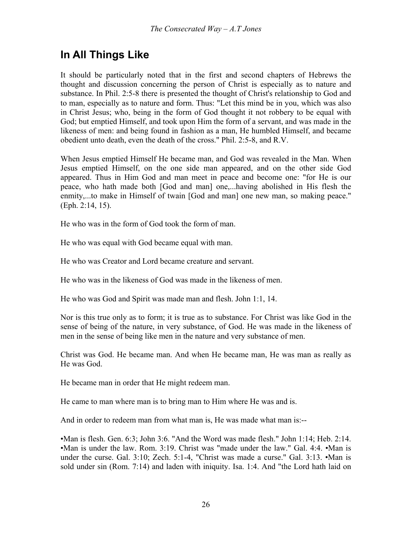# **In All Things Like**

It should be particularly noted that in the first and second chapters of Hebrews the thought and discussion concerning the person of Christ is especially as to nature and substance. In Phil. 2:5-8 there is presented the thought of Christ's relationship to God and to man, especially as to nature and form. Thus: "Let this mind be in you, which was also in Christ Jesus; who, being in the form of God thought it not robbery to be equal with God; but emptied Himself, and took upon Him the form of a servant, and was made in the likeness of men: and being found in fashion as a man, He humbled Himself, and became obedient unto death, even the death of the cross." Phil. 2:5-8, and R.V.

When Jesus emptied Himself He became man, and God was revealed in the Man. When Jesus emptied Himself, on the one side man appeared, and on the other side God appeared. Thus in Him God and man meet in peace and become one: "for He is our peace, who hath made both [God and man] one,...having abolished in His flesh the enmity,...to make in Himself of twain [God and man] one new man, so making peace." (Eph. 2:14, 15).

He who was in the form of God took the form of man.

He who was equal with God became equal with man.

He who was Creator and Lord became creature and servant.

He who was in the likeness of God was made in the likeness of men.

He who was God and Spirit was made man and flesh. John 1:1, 14.

Nor is this true only as to form; it is true as to substance. For Christ was like God in the sense of being of the nature, in very substance, of God. He was made in the likeness of men in the sense of being like men in the nature and very substance of men.

Christ was God. He became man. And when He became man, He was man as really as He was God.

He became man in order that He might redeem man.

He came to man where man is to bring man to Him where He was and is.

And in order to redeem man from what man is, He was made what man is:--

•Man is flesh. Gen. 6:3; John 3:6. "And the Word was made flesh." John 1:14; Heb. 2:14. •Man is under the law. Rom. 3:19. Christ was "made under the law." Gal. 4:4. •Man is under the curse. Gal. 3:10; Zech. 5:1-4, "Christ was made a curse." Gal. 3:13. •Man is sold under sin (Rom. 7:14) and laden with iniquity. Isa. 1:4. And "the Lord hath laid on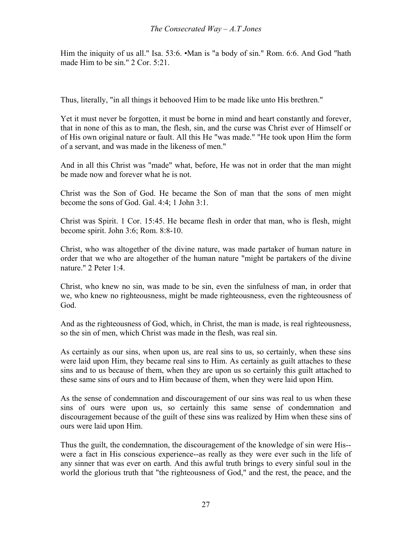Him the iniquity of us all." Isa. 53:6. •Man is "a body of sin." Rom. 6:6. And God "hath made Him to be sin." 2 Cor. 5:21.

Thus, literally, "in all things it behooved Him to be made like unto His brethren."

Yet it must never be forgotten, it must be borne in mind and heart constantly and forever, that in none of this as to man, the flesh, sin, and the curse was Christ ever of Himself or of His own original nature or fault. All this He "was made." "He took upon Him the form of a servant, and was made in the likeness of men."

And in all this Christ was "made" what, before, He was not in order that the man might be made now and forever what he is not.

Christ was the Son of God. He became the Son of man that the sons of men might become the sons of God. Gal. 4:4; 1 John 3:1.

Christ was Spirit. 1 Cor. 15:45. He became flesh in order that man, who is flesh, might become spirit. John 3:6; Rom. 8:8-10.

Christ, who was altogether of the divine nature, was made partaker of human nature in order that we who are altogether of the human nature "might be partakers of the divine nature." 2 Peter 1:4

Christ, who knew no sin, was made to be sin, even the sinfulness of man, in order that we, who knew no righteousness, might be made righteousness, even the righteousness of God.

And as the righteousness of God, which, in Christ, the man is made, is real righteousness, so the sin of men, which Christ was made in the flesh, was real sin.

As certainly as our sins, when upon us, are real sins to us, so certainly, when these sins were laid upon Him, they became real sins to Him. As certainly as guilt attaches to these sins and to us because of them, when they are upon us so certainly this guilt attached to these same sins of ours and to Him because of them, when they were laid upon Him.

As the sense of condemnation and discouragement of our sins was real to us when these sins of ours were upon us, so certainly this same sense of condemnation and discouragement because of the guilt of these sins was realized by Him when these sins of ours were laid upon Him.

Thus the guilt, the condemnation, the discouragement of the knowledge of sin were His- were a fact in His conscious experience--as really as they were ever such in the life of any sinner that was ever on earth. And this awful truth brings to every sinful soul in the world the glorious truth that "the righteousness of God," and the rest, the peace, and the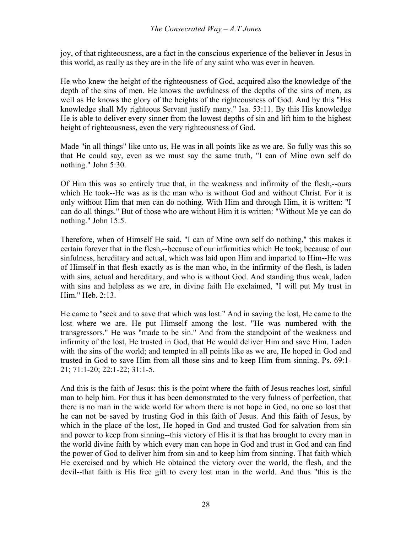joy, of that righteousness, are a fact in the conscious experience of the believer in Jesus in this world, as really as they are in the life of any saint who was ever in heaven.

He who knew the height of the righteousness of God, acquired also the knowledge of the depth of the sins of men. He knows the awfulness of the depths of the sins of men, as well as He knows the glory of the heights of the righteousness of God. And by this "His knowledge shall My righteous Servant justify many." Isa. 53:11. By this His knowledge He is able to deliver every sinner from the lowest depths of sin and lift him to the highest height of righteousness, even the very righteousness of God.

Made "in all things" like unto us, He was in all points like as we are. So fully was this so that He could say, even as we must say the same truth, "I can of Mine own self do nothing." John 5:30.

Of Him this was so entirely true that, in the weakness and infirmity of the flesh,--ours which He took--He was as is the man who is without God and without Christ. For it is only without Him that men can do nothing. With Him and through Him, it is written: "I can do all things." But of those who are without Him it is written: "Without Me ye can do nothing." John 15:5.

Therefore, when of Himself He said, "I can of Mine own self do nothing," this makes it certain forever that in the flesh,--because of our infirmities which He took; because of our sinfulness, hereditary and actual, which was laid upon Him and imparted to Him--He was of Himself in that flesh exactly as is the man who, in the infirmity of the flesh, is laden with sins, actual and hereditary, and who is without God. And standing thus weak, laden with sins and helpless as we are, in divine faith He exclaimed, "I will put My trust in Him." Heb. 2:13.

He came to "seek and to save that which was lost." And in saving the lost, He came to the lost where we are. He put Himself among the lost. "He was numbered with the transgressors." He was "made to be sin." And from the standpoint of the weakness and infirmity of the lost, He trusted in God, that He would deliver Him and save Him. Laden with the sins of the world; and tempted in all points like as we are, He hoped in God and trusted in God to save Him from all those sins and to keep Him from sinning. Ps. 69:1- 21; 71:1-20; 22:1-22; 31:1-5.

And this is the faith of Jesus: this is the point where the faith of Jesus reaches lost, sinful man to help him. For thus it has been demonstrated to the very fulness of perfection, that there is no man in the wide world for whom there is not hope in God, no one so lost that he can not be saved by trusting God in this faith of Jesus. And this faith of Jesus, by which in the place of the lost, He hoped in God and trusted God for salvation from sin and power to keep from sinning--this victory of His it is that has brought to every man in the world divine faith by which every man can hope in God and trust in God and can find the power of God to deliver him from sin and to keep him from sinning. That faith which He exercised and by which He obtained the victory over the world, the flesh, and the devil--that faith is His free gift to every lost man in the world. And thus "this is the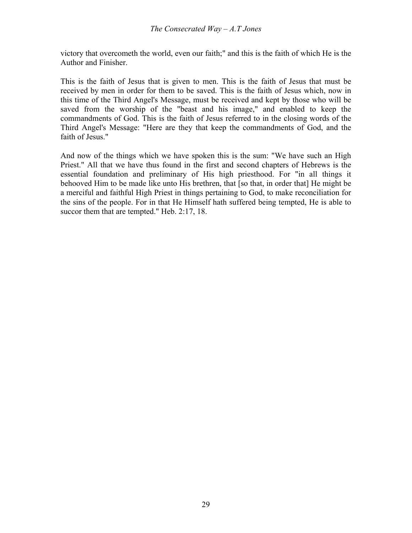victory that overcometh the world, even our faith;" and this is the faith of which He is the Author and Finisher.

This is the faith of Jesus that is given to men. This is the faith of Jesus that must be received by men in order for them to be saved. This is the faith of Jesus which, now in this time of the Third Angel's Message, must be received and kept by those who will be saved from the worship of the "beast and his image," and enabled to keep the commandments of God. This is the faith of Jesus referred to in the closing words of the Third Angel's Message: "Here are they that keep the commandments of God, and the faith of Jesus."

And now of the things which we have spoken this is the sum: "We have such an High Priest." All that we have thus found in the first and second chapters of Hebrews is the essential foundation and preliminary of His high priesthood. For "in all things it behooved Him to be made like unto His brethren, that [so that, in order that] He might be a merciful and faithful High Priest in things pertaining to God, to make reconciliation for the sins of the people. For in that He Himself hath suffered being tempted, He is able to succor them that are tempted." Heb. 2:17, 18.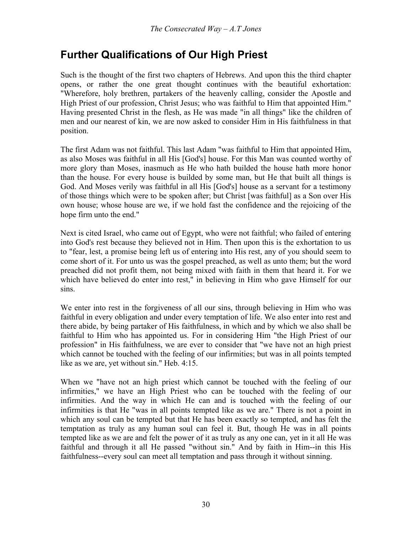# **Further Qualifications of Our High Priest**

Such is the thought of the first two chapters of Hebrews. And upon this the third chapter opens, or rather the one great thought continues with the beautiful exhortation: "Wherefore, holy brethren, partakers of the heavenly calling, consider the Apostle and High Priest of our profession, Christ Jesus; who was faithful to Him that appointed Him." Having presented Christ in the flesh, as He was made "in all things" like the children of men and our nearest of kin, we are now asked to consider Him in His faithfulness in that position.

The first Adam was not faithful. This last Adam "was faithful to Him that appointed Him, as also Moses was faithful in all His [God's] house. For this Man was counted worthy of more glory than Moses, inasmuch as He who hath builded the house hath more honor than the house. For every house is builded by some man, but He that built all things is God. And Moses verily was faithful in all His [God's] house as a servant for a testimony of those things which were to be spoken after; but Christ [was faithful] as a Son over His own house; whose house are we, if we hold fast the confidence and the rejoicing of the hope firm unto the end."

Next is cited Israel, who came out of Egypt, who were not faithful; who failed of entering into God's rest because they believed not in Him. Then upon this is the exhortation to us to "fear, lest, a promise being left us of entering into His rest, any of you should seem to come short of it. For unto us was the gospel preached, as well as unto them; but the word preached did not profit them, not being mixed with faith in them that heard it. For we which have believed do enter into rest," in believing in Him who gave Himself for our sins.

We enter into rest in the forgiveness of all our sins, through believing in Him who was faithful in every obligation and under every temptation of life. We also enter into rest and there abide, by being partaker of His faithfulness, in which and by which we also shall be faithful to Him who has appointed us. For in considering Him "the High Priest of our profession" in His faithfulness, we are ever to consider that "we have not an high priest which cannot be touched with the feeling of our infirmities; but was in all points tempted like as we are, yet without sin." Heb. 4:15.

When we "have not an high priest which cannot be touched with the feeling of our infirmities," we have an High Priest who can be touched with the feeling of our infirmities. And the way in which He can and is touched with the feeling of our infirmities is that He "was in all points tempted like as we are." There is not a point in which any soul can be tempted but that He has been exactly so tempted, and has felt the temptation as truly as any human soul can feel it. But, though He was in all points tempted like as we are and felt the power of it as truly as any one can, yet in it all He was faithful and through it all He passed "without sin." And by faith in Him--in this His faithfulness--every soul can meet all temptation and pass through it without sinning.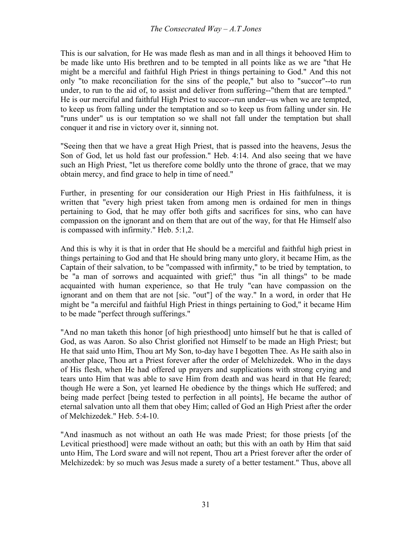This is our salvation, for He was made flesh as man and in all things it behooved Him to be made like unto His brethren and to be tempted in all points like as we are "that He might be a merciful and faithful High Priest in things pertaining to God." And this not only "to make reconciliation for the sins of the people," but also to "succor"--to run under, to run to the aid of, to assist and deliver from suffering--"them that are tempted." He is our merciful and faithful High Priest to succor--run under--us when we are tempted, to keep us from falling under the temptation and so to keep us from falling under sin. He "runs under" us is our temptation so we shall not fall under the temptation but shall conquer it and rise in victory over it, sinning not.

"Seeing then that we have a great High Priest, that is passed into the heavens, Jesus the Son of God, let us hold fast our profession." Heb. 4:14. And also seeing that we have such an High Priest, "let us therefore come boldly unto the throne of grace, that we may obtain mercy, and find grace to help in time of need."

Further, in presenting for our consideration our High Priest in His faithfulness, it is written that "every high priest taken from among men is ordained for men in things pertaining to God, that he may offer both gifts and sacrifices for sins, who can have compassion on the ignorant and on them that are out of the way, for that He Himself also is compassed with infirmity." Heb. 5:1,2.

And this is why it is that in order that He should be a merciful and faithful high priest in things pertaining to God and that He should bring many unto glory, it became Him, as the Captain of their salvation, to be "compassed with infirmity," to be tried by temptation, to be "a man of sorrows and acquainted with grief;" thus "in all things" to be made acquainted with human experience, so that He truly "can have compassion on the ignorant and on them that are not [sic. "out"] of the way." In a word, in order that He might be "a merciful and faithful High Priest in things pertaining to God," it became Him to be made "perfect through sufferings."

"And no man taketh this honor [of high priesthood] unto himself but he that is called of God, as was Aaron. So also Christ glorified not Himself to be made an High Priest; but He that said unto Him, Thou art My Son, to-day have I begotten Thee. As He saith also in another place, Thou art a Priest forever after the order of Melchizedek. Who in the days of His flesh, when He had offered up prayers and supplications with strong crying and tears unto Him that was able to save Him from death and was heard in that He feared; though He were a Son, yet learned He obedience by the things which He suffered; and being made perfect [being tested to perfection in all points], He became the author of eternal salvation unto all them that obey Him; called of God an High Priest after the order of Melchizedek." Heb. 5:4-10.

"And inasmuch as not without an oath He was made Priest; for those priests [of the Levitical priesthood] were made without an oath; but this with an oath by Him that said unto Him, The Lord sware and will not repent, Thou art a Priest forever after the order of Melchizedek: by so much was Jesus made a surety of a better testament." Thus, above all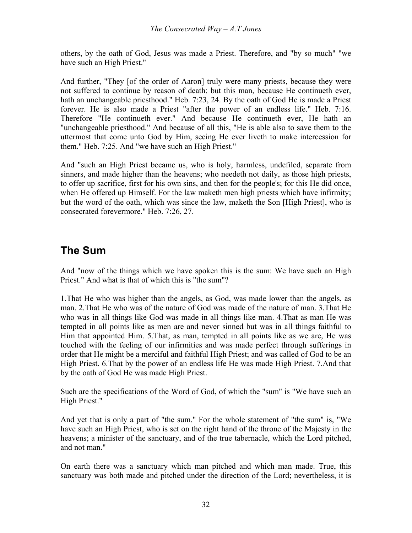others, by the oath of God, Jesus was made a Priest. Therefore, and "by so much" "we have such an High Priest."

And further, "They [of the order of Aaron] truly were many priests, because they were not suffered to continue by reason of death: but this man, because He continueth ever, hath an unchangeable priesthood." Heb. 7:23, 24. By the oath of God He is made a Priest forever. He is also made a Priest "after the power of an endless life." Heb. 7:16. Therefore "He continueth ever." And because He continueth ever, He hath an "unchangeable priesthood." And because of all this, "He is able also to save them to the uttermost that come unto God by Him, seeing He ever liveth to make intercession for them." Heb. 7:25. And "we have such an High Priest."

And "such an High Priest became us, who is holy, harmless, undefiled, separate from sinners, and made higher than the heavens; who needeth not daily, as those high priests, to offer up sacrifice, first for his own sins, and then for the people's; for this He did once, when He offered up Himself. For the law maketh men high priests which have infirmity; but the word of the oath, which was since the law, maketh the Son [High Priest], who is consecrated forevermore." Heb. 7:26, 27.

# **The Sum**

And "now of the things which we have spoken this is the sum: We have such an High Priest." And what is that of which this is "the sum"?

1.That He who was higher than the angels, as God, was made lower than the angels, as man. 2.That He who was of the nature of God was made of the nature of man. 3.That He who was in all things like God was made in all things like man. 4.That as man He was tempted in all points like as men are and never sinned but was in all things faithful to Him that appointed Him. 5.That, as man, tempted in all points like as we are, He was touched with the feeling of our infirmities and was made perfect through sufferings in order that He might be a merciful and faithful High Priest; and was called of God to be an High Priest. 6.That by the power of an endless life He was made High Priest. 7.And that by the oath of God He was made High Priest.

Such are the specifications of the Word of God, of which the "sum" is "We have such an High Priest."

And yet that is only a part of "the sum." For the whole statement of "the sum" is, "We have such an High Priest, who is set on the right hand of the throne of the Majesty in the heavens; a minister of the sanctuary, and of the true tabernacle, which the Lord pitched, and not man."

On earth there was a sanctuary which man pitched and which man made. True, this sanctuary was both made and pitched under the direction of the Lord; nevertheless, it is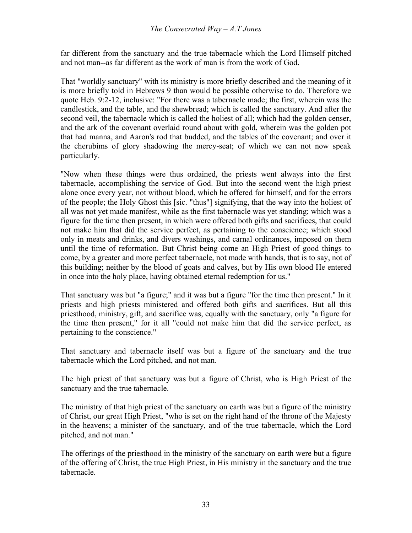far different from the sanctuary and the true tabernacle which the Lord Himself pitched and not man--as far different as the work of man is from the work of God.

That "worldly sanctuary" with its ministry is more briefly described and the meaning of it is more briefly told in Hebrews 9 than would be possible otherwise to do. Therefore we quote Heb. 9:2-12, inclusive: "For there was a tabernacle made; the first, wherein was the candlestick, and the table, and the shewbread; which is called the sanctuary. And after the second veil, the tabernacle which is called the holiest of all; which had the golden censer, and the ark of the covenant overlaid round about with gold, wherein was the golden pot that had manna, and Aaron's rod that budded, and the tables of the covenant; and over it the cherubims of glory shadowing the mercy-seat; of which we can not now speak particularly.

"Now when these things were thus ordained, the priests went always into the first tabernacle, accomplishing the service of God. But into the second went the high priest alone once every year, not without blood, which he offered for himself, and for the errors of the people; the Holy Ghost this [sic. "thus"] signifying, that the way into the holiest of all was not yet made manifest, while as the first tabernacle was yet standing; which was a figure for the time then present, in which were offered both gifts and sacrifices, that could not make him that did the service perfect, as pertaining to the conscience; which stood only in meats and drinks, and divers washings, and carnal ordinances, imposed on them until the time of reformation. But Christ being come an High Priest of good things to come, by a greater and more perfect tabernacle, not made with hands, that is to say, not of this building; neither by the blood of goats and calves, but by His own blood He entered in once into the holy place, having obtained eternal redemption for us."

That sanctuary was but "a figure;" and it was but a figure "for the time then present." In it priests and high priests ministered and offered both gifts and sacrifices. But all this priesthood, ministry, gift, and sacrifice was, equally with the sanctuary, only "a figure for the time then present," for it all "could not make him that did the service perfect, as pertaining to the conscience."

That sanctuary and tabernacle itself was but a figure of the sanctuary and the true tabernacle which the Lord pitched, and not man.

The high priest of that sanctuary was but a figure of Christ, who is High Priest of the sanctuary and the true tabernacle.

The ministry of that high priest of the sanctuary on earth was but a figure of the ministry of Christ, our great High Priest, "who is set on the right hand of the throne of the Majesty in the heavens; a minister of the sanctuary, and of the true tabernacle, which the Lord pitched, and not man."

The offerings of the priesthood in the ministry of the sanctuary on earth were but a figure of the offering of Christ, the true High Priest, in His ministry in the sanctuary and the true tabernacle.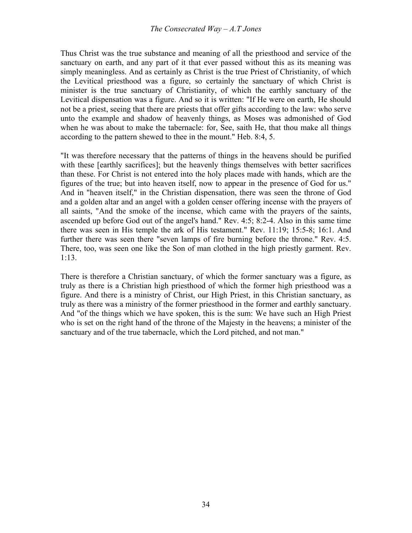Thus Christ was the true substance and meaning of all the priesthood and service of the sanctuary on earth, and any part of it that ever passed without this as its meaning was simply meaningless. And as certainly as Christ is the true Priest of Christianity, of which the Levitical priesthood was a figure, so certainly the sanctuary of which Christ is minister is the true sanctuary of Christianity, of which the earthly sanctuary of the Levitical dispensation was a figure. And so it is written: "If He were on earth, He should not be a priest, seeing that there are priests that offer gifts according to the law: who serve unto the example and shadow of heavenly things, as Moses was admonished of God when he was about to make the tabernacle: for, See, saith He, that thou make all things according to the pattern shewed to thee in the mount." Heb. 8:4, 5.

"It was therefore necessary that the patterns of things in the heavens should be purified with these [earthly sacrifices]; but the heavenly things themselves with better sacrifices than these. For Christ is not entered into the holy places made with hands, which are the figures of the true; but into heaven itself, now to appear in the presence of God for us." And in "heaven itself," in the Christian dispensation, there was seen the throne of God and a golden altar and an angel with a golden censer offering incense with the prayers of all saints, "And the smoke of the incense, which came with the prayers of the saints, ascended up before God out of the angel's hand." Rev. 4:5; 8:2-4. Also in this same time there was seen in His temple the ark of His testament." Rev. 11:19; 15:5-8; 16:1. And further there was seen there "seven lamps of fire burning before the throne." Rev. 4:5. There, too, was seen one like the Son of man clothed in the high priestly garment. Rev. 1:13.

There is therefore a Christian sanctuary, of which the former sanctuary was a figure, as truly as there is a Christian high priesthood of which the former high priesthood was a figure. And there is a ministry of Christ, our High Priest, in this Christian sanctuary, as truly as there was a ministry of the former priesthood in the former and earthly sanctuary. And "of the things which we have spoken, this is the sum: We have such an High Priest who is set on the right hand of the throne of the Majesty in the heavens; a minister of the sanctuary and of the true tabernacle, which the Lord pitched, and not man."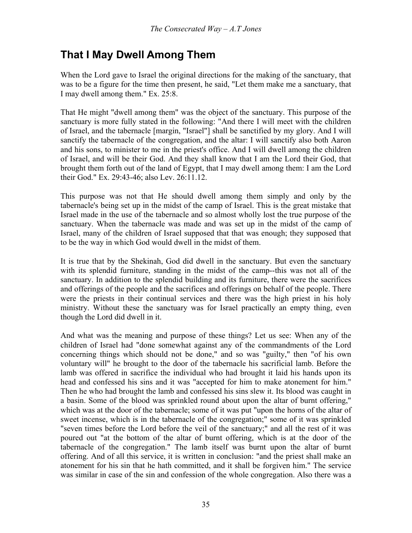# **That I May Dwell Among Them**

When the Lord gave to Israel the original directions for the making of the sanctuary, that was to be a figure for the time then present, he said, "Let them make me a sanctuary, that I may dwell among them." Ex. 25:8.

That He might "dwell among them" was the object of the sanctuary. This purpose of the sanctuary is more fully stated in the following: "And there I will meet with the children of Israel, and the tabernacle [margin, "Israel"] shall be sanctified by my glory. And I will sanctify the tabernacle of the congregation, and the altar: I will sanctify also both Aaron and his sons, to minister to me in the priest's office. And I will dwell among the children of Israel, and will be their God. And they shall know that I am the Lord their God, that brought them forth out of the land of Egypt, that I may dwell among them: I am the Lord their God." Ex. 29:43-46; also Lev. 26:11.12.

This purpose was not that He should dwell among them simply and only by the tabernacle's being set up in the midst of the camp of Israel. This is the great mistake that Israel made in the use of the tabernacle and so almost wholly lost the true purpose of the sanctuary. When the tabernacle was made and was set up in the midst of the camp of Israel, many of the children of Israel supposed that that was enough; they supposed that to be the way in which God would dwell in the midst of them.

It is true that by the Shekinah, God did dwell in the sanctuary. But even the sanctuary with its splendid furniture, standing in the midst of the camp--this was not all of the sanctuary. In addition to the splendid building and its furniture, there were the sacrifices and offerings of the people and the sacrifices and offerings on behalf of the people. There were the priests in their continual services and there was the high priest in his holy ministry. Without these the sanctuary was for Israel practically an empty thing, even though the Lord did dwell in it.

And what was the meaning and purpose of these things? Let us see: When any of the children of Israel had "done somewhat against any of the commandments of the Lord concerning things which should not be done," and so was "guilty," then "of his own voluntary will" he brought to the door of the tabernacle his sacrificial lamb. Before the lamb was offered in sacrifice the individual who had brought it laid his hands upon its head and confessed his sins and it was "accepted for him to make atonement for him." Then he who had brought the lamb and confessed his sins slew it. Its blood was caught in a basin. Some of the blood was sprinkled round about upon the altar of burnt offering," which was at the door of the tabernacle; some of it was put "upon the horns of the altar of sweet incense, which is in the tabernacle of the congregation;" some of it was sprinkled "seven times before the Lord before the veil of the sanctuary;" and all the rest of it was poured out "at the bottom of the altar of burnt offering, which is at the door of the tabernacle of the congregation." The lamb itself was burnt upon the altar of burnt offering. And of all this service, it is written in conclusion: "and the priest shall make an atonement for his sin that he hath committed, and it shall be forgiven him." The service was similar in case of the sin and confession of the whole congregation. Also there was a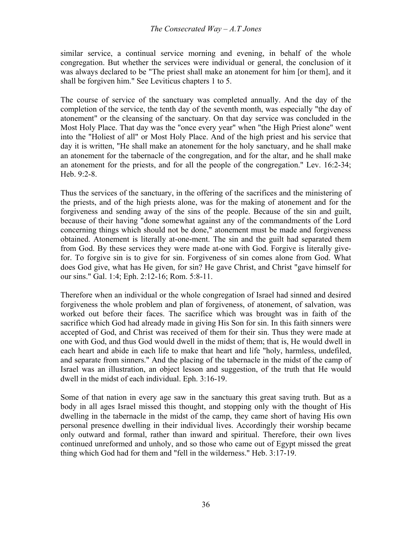similar service, a continual service morning and evening, in behalf of the whole congregation. But whether the services were individual or general, the conclusion of it was always declared to be "The priest shall make an atonement for him [or them], and it shall be forgiven him." See Leviticus chapters 1 to 5.

The course of service of the sanctuary was completed annually. And the day of the completion of the service, the tenth day of the seventh month, was especially "the day of atonement" or the cleansing of the sanctuary. On that day service was concluded in the Most Holy Place. That day was the "once every year" when "the High Priest alone" went into the "Holiest of all" or Most Holy Place. And of the high priest and his service that day it is written, "He shall make an atonement for the holy sanctuary, and he shall make an atonement for the tabernacle of the congregation, and for the altar, and he shall make an atonement for the priests, and for all the people of the congregation." Lev. 16:2-34; Heb. 9:2-8.

Thus the services of the sanctuary, in the offering of the sacrifices and the ministering of the priests, and of the high priests alone, was for the making of atonement and for the forgiveness and sending away of the sins of the people. Because of the sin and guilt, because of their having "done somewhat against any of the commandments of the Lord concerning things which should not be done," atonement must be made and forgiveness obtained. Atonement is literally at-one-ment. The sin and the guilt had separated them from God. By these services they were made at-one with God. Forgive is literally givefor. To forgive sin is to give for sin. Forgiveness of sin comes alone from God. What does God give, what has He given, for sin? He gave Christ, and Christ "gave himself for our sins." Gal. 1:4; Eph. 2:12-16; Rom. 5:8-11.

Therefore when an individual or the whole congregation of Israel had sinned and desired forgiveness the whole problem and plan of forgiveness, of atonement, of salvation, was worked out before their faces. The sacrifice which was brought was in faith of the sacrifice which God had already made in giving His Son for sin. In this faith sinners were accepted of God, and Christ was received of them for their sin. Thus they were made at one with God, and thus God would dwell in the midst of them; that is, He would dwell in each heart and abide in each life to make that heart and life "holy, harmless, undefiled, and separate from sinners." And the placing of the tabernacle in the midst of the camp of Israel was an illustration, an object lesson and suggestion, of the truth that He would dwell in the midst of each individual. Eph. 3:16-19.

Some of that nation in every age saw in the sanctuary this great saving truth. But as a body in all ages Israel missed this thought, and stopping only with the thought of His dwelling in the tabernacle in the midst of the camp, they came short of having His own personal presence dwelling in their individual lives. Accordingly their worship became only outward and formal, rather than inward and spiritual. Therefore, their own lives continued unreformed and unholy, and so those who came out of Egypt missed the great thing which God had for them and "fell in the wilderness." Heb. 3:17-19.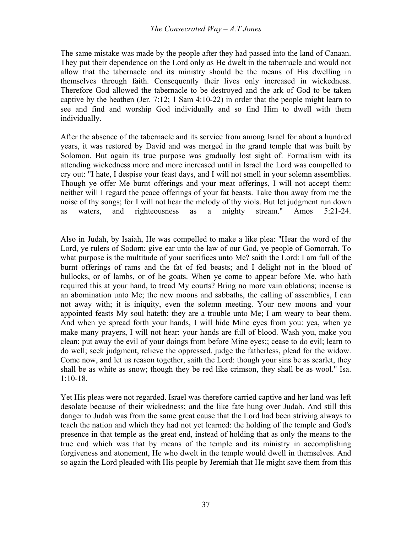The same mistake was made by the people after they had passed into the land of Canaan. They put their dependence on the Lord only as He dwelt in the tabernacle and would not allow that the tabernacle and its ministry should be the means of His dwelling in themselves through faith. Consequently their lives only increased in wickedness. Therefore God allowed the tabernacle to be destroyed and the ark of God to be taken captive by the heathen (Jer. 7:12; 1 Sam 4:10-22) in order that the people might learn to see and find and worship God individually and so find Him to dwell with them individually.

After the absence of the tabernacle and its service from among Israel for about a hundred years, it was restored by David and was merged in the grand temple that was built by Solomon. But again its true purpose was gradually lost sight of. Formalism with its attending wickedness more and more increased until in Israel the Lord was compelled to cry out: "I hate, I despise your feast days, and I will not smell in your solemn assemblies. Though ye offer Me burnt offerings and your meat offerings, I will not accept them: neither will I regard the peace offerings of your fat beasts. Take thou away from me the noise of thy songs; for I will not hear the melody of thy viols. But let judgment run down as waters, and righteousness as a mighty stream." Amos 5:21-24.

Also in Judah, by Isaiah, He was compelled to make a like plea: "Hear the word of the Lord, ye rulers of Sodom; give ear unto the law of our God, ye people of Gomorrah. To what purpose is the multitude of your sacrifices unto Me? saith the Lord: I am full of the burnt offerings of rams and the fat of fed beasts; and I delight not in the blood of bullocks, or of lambs, or of he goats. When ye come to appear before Me, who hath required this at your hand, to tread My courts? Bring no more vain oblations; incense is an abomination unto Me; the new moons and sabbaths, the calling of assemblies, I can not away with; it is iniquity, even the solemn meeting. Your new moons and your appointed feasts My soul hateth: they are a trouble unto Me; I am weary to bear them. And when ye spread forth your hands, I will hide Mine eyes from you: yea, when ye make many prayers, I will not hear: your hands are full of blood. Wash you, make you clean; put away the evil of your doings from before Mine eyes;; cease to do evil; learn to do well; seek judgment, relieve the oppressed, judge the fatherless, plead for the widow. Come now, and let us reason together, saith the Lord: though your sins be as scarlet, they shall be as white as snow; though they be red like crimson, they shall be as wool." Isa. 1:10-18.

Yet His pleas were not regarded. Israel was therefore carried captive and her land was left desolate because of their wickedness; and the like fate hung over Judah. And still this danger to Judah was from the same great cause that the Lord had been striving always to teach the nation and which they had not yet learned: the holding of the temple and God's presence in that temple as the great end, instead of holding that as only the means to the true end which was that by means of the temple and its ministry in accomplishing forgiveness and atonement, He who dwelt in the temple would dwell in themselves. And so again the Lord pleaded with His people by Jeremiah that He might save them from this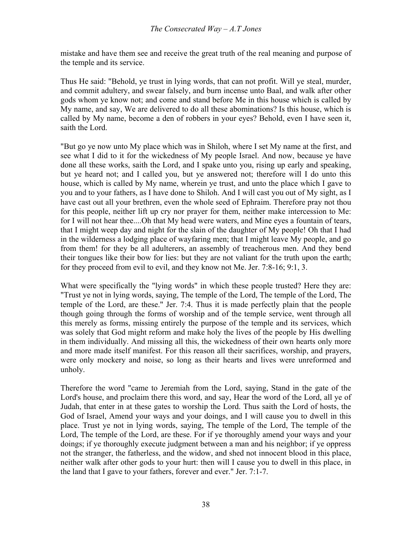mistake and have them see and receive the great truth of the real meaning and purpose of the temple and its service.

Thus He said: "Behold, ye trust in lying words, that can not profit. Will ye steal, murder, and commit adultery, and swear falsely, and burn incense unto Baal, and walk after other gods whom ye know not; and come and stand before Me in this house which is called by My name, and say, We are delivered to do all these abominations? Is this house, which is called by My name, become a den of robbers in your eyes? Behold, even I have seen it, saith the Lord.

"But go ye now unto My place which was in Shiloh, where I set My name at the first, and see what I did to it for the wickedness of My people Israel. And now, because ye have done all these works, saith the Lord, and I spake unto you, rising up early and speaking, but ye heard not; and I called you, but ye answered not; therefore will I do unto this house, which is called by My name, wherein ye trust, and unto the place which I gave to you and to your fathers, as I have done to Shiloh. And I will cast you out of My sight, as I have cast out all your brethren, even the whole seed of Ephraim. Therefore pray not thou for this people, neither lift up cry nor prayer for them, neither make intercession to Me: for I will not hear thee....Oh that My head were waters, and Mine eyes a fountain of tears, that I might weep day and night for the slain of the daughter of My people! Oh that I had in the wilderness a lodging place of wayfaring men; that I might leave My people, and go from them! for they be all adulterers, an assembly of treacherous men. And they bend their tongues like their bow for lies: but they are not valiant for the truth upon the earth; for they proceed from evil to evil, and they know not Me. Jer. 7:8-16; 9:1, 3.

What were specifically the "lying words" in which these people trusted? Here they are: "Trust ye not in lying words, saying, The temple of the Lord, The temple of the Lord, The temple of the Lord, are these." Jer. 7:4. Thus it is made perfectly plain that the people though going through the forms of worship and of the temple service, went through all this merely as forms, missing entirely the purpose of the temple and its services, which was solely that God might reform and make holy the lives of the people by His dwelling in them individually. And missing all this, the wickedness of their own hearts only more and more made itself manifest. For this reason all their sacrifices, worship, and prayers, were only mockery and noise, so long as their hearts and lives were unreformed and unholy.

Therefore the word "came to Jeremiah from the Lord, saying, Stand in the gate of the Lord's house, and proclaim there this word, and say, Hear the word of the Lord, all ye of Judah, that enter in at these gates to worship the Lord. Thus saith the Lord of hosts, the God of Israel, Amend your ways and your doings, and I will cause you to dwell in this place. Trust ye not in lying words, saying, The temple of the Lord, The temple of the Lord, The temple of the Lord, are these. For if ye thoroughly amend your ways and your doings; if ye thoroughly execute judgment between a man and his neighbor; if ye oppress not the stranger, the fatherless, and the widow, and shed not innocent blood in this place, neither walk after other gods to your hurt: then will I cause you to dwell in this place, in the land that I gave to your fathers, forever and ever." Jer. 7:1-7.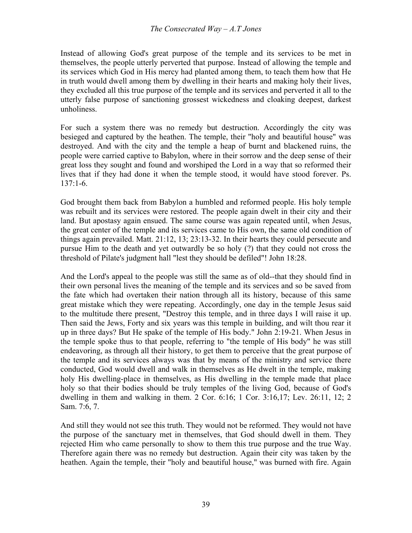Instead of allowing God's great purpose of the temple and its services to be met in themselves, the people utterly perverted that purpose. Instead of allowing the temple and its services which God in His mercy had planted among them, to teach them how that He in truth would dwell among them by dwelling in their hearts and making holy their lives, they excluded all this true purpose of the temple and its services and perverted it all to the utterly false purpose of sanctioning grossest wickedness and cloaking deepest, darkest unholiness.

For such a system there was no remedy but destruction. Accordingly the city was besieged and captured by the heathen. The temple, their "holy and beautiful house" was destroyed. And with the city and the temple a heap of burnt and blackened ruins, the people were carried captive to Babylon, where in their sorrow and the deep sense of their great loss they sought and found and worshiped the Lord in a way that so reformed their lives that if they had done it when the temple stood, it would have stood forever. Ps. 137:1-6.

God brought them back from Babylon a humbled and reformed people. His holy temple was rebuilt and its services were restored. The people again dwelt in their city and their land. But apostasy again ensued. The same course was again repeated until, when Jesus, the great center of the temple and its services came to His own, the same old condition of things again prevailed. Matt. 21:12, 13; 23:13-32. In their hearts they could persecute and pursue Him to the death and yet outwardly be so holy (?) that they could not cross the threshold of Pilate's judgment hall "lest they should be defiled"! John 18:28.

And the Lord's appeal to the people was still the same as of old--that they should find in their own personal lives the meaning of the temple and its services and so be saved from the fate which had overtaken their nation through all its history, because of this same great mistake which they were repeating. Accordingly, one day in the temple Jesus said to the multitude there present, "Destroy this temple, and in three days I will raise it up. Then said the Jews, Forty and six years was this temple in building, and wilt thou rear it up in three days? But He spake of the temple of His body." John 2:19-21. When Jesus in the temple spoke thus to that people, referring to "the temple of His body" he was still endeavoring, as through all their history, to get them to perceive that the great purpose of the temple and its services always was that by means of the ministry and service there conducted, God would dwell and walk in themselves as He dwelt in the temple, making holy His dwelling-place in themselves, as His dwelling in the temple made that place holy so that their bodies should be truly temples of the living God, because of God's dwelling in them and walking in them. 2 Cor. 6:16; 1 Cor. 3:16,17; Lev. 26:11, 12; 2 Sam. 7:6, 7.

And still they would not see this truth. They would not be reformed. They would not have the purpose of the sanctuary met in themselves, that God should dwell in them. They rejected Him who came personally to show to them this true purpose and the true Way. Therefore again there was no remedy but destruction. Again their city was taken by the heathen. Again the temple, their "holy and beautiful house," was burned with fire. Again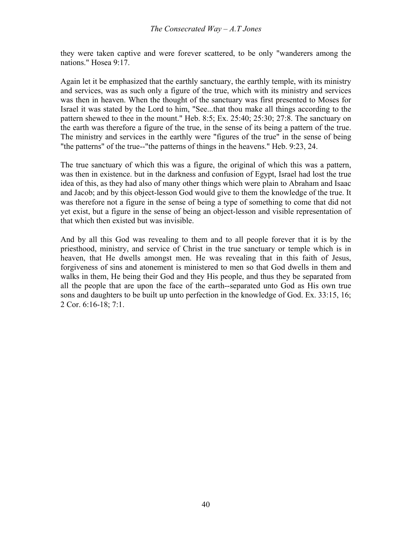they were taken captive and were forever scattered, to be only "wanderers among the nations." Hosea 9:17.

Again let it be emphasized that the earthly sanctuary, the earthly temple, with its ministry and services, was as such only a figure of the true, which with its ministry and services was then in heaven. When the thought of the sanctuary was first presented to Moses for Israel it was stated by the Lord to him, "See...that thou make all things according to the pattern shewed to thee in the mount." Heb. 8:5; Ex. 25:40; 25:30; 27:8. The sanctuary on the earth was therefore a figure of the true, in the sense of its being a pattern of the true. The ministry and services in the earthly were "figures of the true" in the sense of being "the patterns" of the true--"the patterns of things in the heavens." Heb. 9:23, 24.

The true sanctuary of which this was a figure, the original of which this was a pattern, was then in existence. but in the darkness and confusion of Egypt, Israel had lost the true idea of this, as they had also of many other things which were plain to Abraham and Isaac and Jacob; and by this object-lesson God would give to them the knowledge of the true. It was therefore not a figure in the sense of being a type of something to come that did not yet exist, but a figure in the sense of being an object-lesson and visible representation of that which then existed but was invisible.

And by all this God was revealing to them and to all people forever that it is by the priesthood, ministry, and service of Christ in the true sanctuary or temple which is in heaven, that He dwells amongst men. He was revealing that in this faith of Jesus, forgiveness of sins and atonement is ministered to men so that God dwells in them and walks in them, He being their God and they His people, and thus they be separated from all the people that are upon the face of the earth--separated unto God as His own true sons and daughters to be built up unto perfection in the knowledge of God. Ex. 33:15, 16; 2 Cor. 6:16-18; 7:1.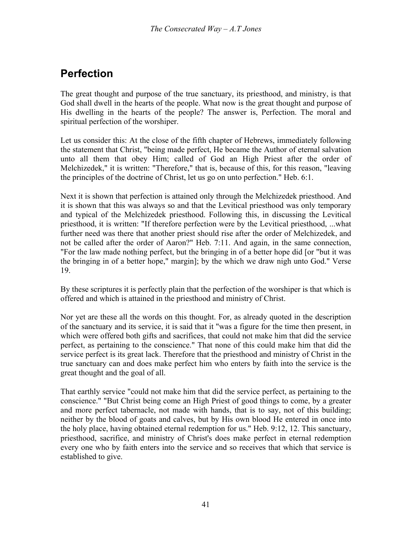### **Perfection**

The great thought and purpose of the true sanctuary, its priesthood, and ministry, is that God shall dwell in the hearts of the people. What now is the great thought and purpose of His dwelling in the hearts of the people? The answer is, Perfection. The moral and spiritual perfection of the worshiper.

Let us consider this: At the close of the fifth chapter of Hebrews, immediately following the statement that Christ, "being made perfect, He became the Author of eternal salvation unto all them that obey Him; called of God an High Priest after the order of Melchizedek," it is written: "Therefore," that is, because of this, for this reason, "leaving the principles of the doctrine of Christ, let us go on unto perfection." Heb. 6:1.

Next it is shown that perfection is attained only through the Melchizedek priesthood. And it is shown that this was always so and that the Levitical priesthood was only temporary and typical of the Melchizedek priesthood. Following this, in discussing the Levitical priesthood, it is written: "If therefore perfection were by the Levitical priesthood, ...what further need was there that another priest should rise after the order of Melchizedek, and not be called after the order of Aaron?" Heb. 7:11. And again, in the same connection, "For the law made nothing perfect, but the bringing in of a better hope did [or "but it was the bringing in of a better hope," margin]; by the which we draw nigh unto God." Verse 19.

By these scriptures it is perfectly plain that the perfection of the worshiper is that which is offered and which is attained in the priesthood and ministry of Christ.

Nor yet are these all the words on this thought. For, as already quoted in the description of the sanctuary and its service, it is said that it "was a figure for the time then present, in which were offered both gifts and sacrifices, that could not make him that did the service perfect, as pertaining to the conscience." That none of this could make him that did the service perfect is its great lack. Therefore that the priesthood and ministry of Christ in the true sanctuary can and does make perfect him who enters by faith into the service is the great thought and the goal of all.

That earthly service "could not make him that did the service perfect, as pertaining to the conscience." "But Christ being come an High Priest of good things to come, by a greater and more perfect tabernacle, not made with hands, that is to say, not of this building; neither by the blood of goats and calves, but by His own blood He entered in once into the holy place, having obtained eternal redemption for us." Heb. 9:12, 12. This sanctuary, priesthood, sacrifice, and ministry of Christ's does make perfect in eternal redemption every one who by faith enters into the service and so receives that which that service is established to give.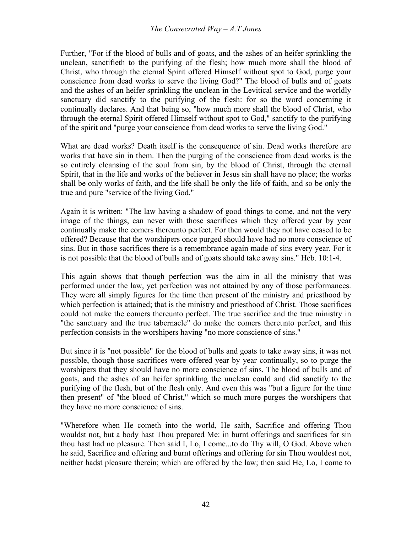Further, "For if the blood of bulls and of goats, and the ashes of an heifer sprinkling the unclean, sanctifieth to the purifying of the flesh; how much more shall the blood of Christ, who through the eternal Spirit offered Himself without spot to God, purge your conscience from dead works to serve the living God?" The blood of bulls and of goats and the ashes of an heifer sprinkling the unclean in the Levitical service and the worldly sanctuary did sanctify to the purifying of the flesh: for so the word concerning it continually declares. And that being so, "how much more shall the blood of Christ, who through the eternal Spirit offered Himself without spot to God," sanctify to the purifying of the spirit and "purge your conscience from dead works to serve the living God."

What are dead works? Death itself is the consequence of sin. Dead works therefore are works that have sin in them. Then the purging of the conscience from dead works is the so entirely cleansing of the soul from sin, by the blood of Christ, through the eternal Spirit, that in the life and works of the believer in Jesus sin shall have no place; the works shall be only works of faith, and the life shall be only the life of faith, and so be only the true and pure "service of the living God."

Again it is written: "The law having a shadow of good things to come, and not the very image of the things, can never with those sacrifices which they offered year by year continually make the comers thereunto perfect. For then would they not have ceased to be offered? Because that the worshipers once purged should have had no more conscience of sins. But in those sacrifices there is a remembrance again made of sins every year. For it is not possible that the blood of bulls and of goats should take away sins." Heb. 10:1-4.

This again shows that though perfection was the aim in all the ministry that was performed under the law, yet perfection was not attained by any of those performances. They were all simply figures for the time then present of the ministry and priesthood by which perfection is attained; that is the ministry and priesthood of Christ. Those sacrifices could not make the comers thereunto perfect. The true sacrifice and the true ministry in "the sanctuary and the true tabernacle" do make the comers thereunto perfect, and this perfection consists in the worshipers having "no more conscience of sins."

But since it is "not possible" for the blood of bulls and goats to take away sins, it was not possible, though those sacrifices were offered year by year continually, so to purge the worshipers that they should have no more conscience of sins. The blood of bulls and of goats, and the ashes of an heifer sprinkling the unclean could and did sanctify to the purifying of the flesh, but of the flesh only. And even this was "but a figure for the time then present" of "the blood of Christ," which so much more purges the worshipers that they have no more conscience of sins.

"Wherefore when He cometh into the world, He saith, Sacrifice and offering Thou wouldst not, but a body hast Thou prepared Me: in burnt offerings and sacrifices for sin thou hast had no pleasure. Then said I, Lo, I come...to do Thy will, O God. Above when he said, Sacrifice and offering and burnt offerings and offering for sin Thou wouldest not, neither hadst pleasure therein; which are offered by the law; then said He, Lo, I come to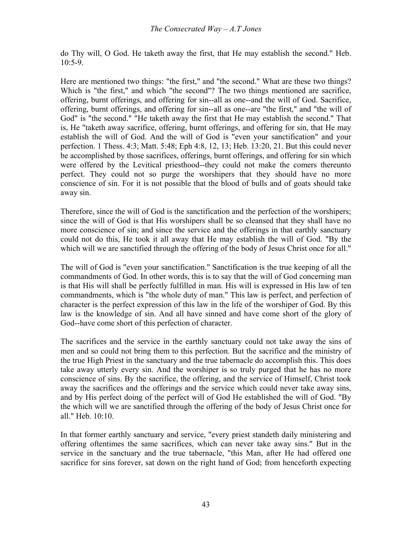do Thy will, O God. He taketh away the first, that He may establish the second." Heb. 10:5-9.

Here are mentioned two things: "the first," and "the second." What are these two things? Which is "the first," and which "the second"? The two things mentioned are sacrifice, offering, burnt offerings, and offering for sin--all as one--and the will of God. Sacrifice, offering, burnt offerings, and offering for sin--all as one--are "the first," and "the will of God" is "the second." "He taketh away the first that He may establish the second." That is, He "taketh away sacrifice, offering, burnt offerings, and offering for sin, that He may establish the will of God. And the will of God is "even your sanctification" and your perfection. 1 Thess. 4:3; Matt. 5:48; Eph 4:8, 12, 13; Heb. 13:20, 21. But this could never be accomplished by those sacrifices, offerings, burnt offerings, and offering for sin which were offered by the Levitical priesthood--they could not make the comers thereunto perfect. They could not so purge the worshipers that they should have no more conscience of sin. For it is not possible that the blood of bulls and of goats should take away sin.

Therefore, since the will of God is the sanctification and the perfection of the worshipers; since the will of God is that His worshipers shall be so cleansed that they shall have no more conscience of sin; and since the service and the offerings in that earthly sanctuary could not do this, He took it all away that He may establish the will of God. "By the which will we are sanctified through the offering of the body of Jesus Christ once for all."

The will of God is "even your sanctification." Sanctification is the true keeping of all the commandments of God. In other words, this is to say that the will of God concerning man is that His will shall be perfectly fulfilled in man. His will is expressed in His law of ten commandments, which is "the whole duty of man." This law is perfect, and perfection of character is the perfect expression of this law in the life of the worshiper of God. By this law is the knowledge of sin. And all have sinned and have come short of the glory of God--have come short of this perfection of character.

The sacrifices and the service in the earthly sanctuary could not take away the sins of men and so could not bring them to this perfection. But the sacrifice and the ministry of the true High Priest in the sanctuary and the true tabernacle do accomplish this. This does take away utterly every sin. And the worshiper is so truly purged that he has no more conscience of sins. By the sacrifice, the offering, and the service of Himself, Christ took away the sacrifices and the offerings and the service which could never take away sins, and by His perfect doing of the perfect will of God He established the will of God. "By the which will we are sanctified through the offering of the body of Jesus Christ once for all." Heb. 10:10.

In that former earthly sanctuary and service, "every priest standeth daily ministering and offering oftentimes the same sacrifices, which can never take away sins." But in the service in the sanctuary and the true tabernacle, "this Man, after He had offered one sacrifice for sins forever, sat down on the right hand of God; from henceforth expecting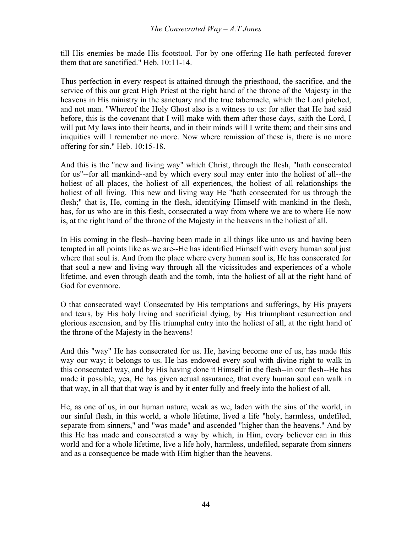till His enemies be made His footstool. For by one offering He hath perfected forever them that are sanctified." Heb. 10:11-14.

Thus perfection in every respect is attained through the priesthood, the sacrifice, and the service of this our great High Priest at the right hand of the throne of the Majesty in the heavens in His ministry in the sanctuary and the true tabernacle, which the Lord pitched, and not man. "Whereof the Holy Ghost also is a witness to us: for after that He had said before, this is the covenant that I will make with them after those days, saith the Lord, I will put My laws into their hearts, and in their minds will I write them; and their sins and iniquities will I remember no more. Now where remission of these is, there is no more offering for sin." Heb. 10:15-18.

And this is the "new and living way" which Christ, through the flesh, "hath consecrated for us"--for all mankind--and by which every soul may enter into the holiest of all--the holiest of all places, the holiest of all experiences, the holiest of all relationships the holiest of all living. This new and living way He "hath consecrated for us through the flesh;" that is, He, coming in the flesh, identifying Himself with mankind in the flesh, has, for us who are in this flesh, consecrated a way from where we are to where He now is, at the right hand of the throne of the Majesty in the heavens in the holiest of all.

In His coming in the flesh--having been made in all things like unto us and having been tempted in all points like as we are--He has identified Himself with every human soul just where that soul is. And from the place where every human soul is, He has consecrated for that soul a new and living way through all the vicissitudes and experiences of a whole lifetime, and even through death and the tomb, into the holiest of all at the right hand of God for evermore.

O that consecrated way! Consecrated by His temptations and sufferings, by His prayers and tears, by His holy living and sacrificial dying, by His triumphant resurrection and glorious ascension, and by His triumphal entry into the holiest of all, at the right hand of the throne of the Majesty in the heavens!

And this "way" He has consecrated for us. He, having become one of us, has made this way our way; it belongs to us. He has endowed every soul with divine right to walk in this consecrated way, and by His having done it Himself in the flesh--in our flesh--He has made it possible, yea, He has given actual assurance, that every human soul can walk in that way, in all that that way is and by it enter fully and freely into the holiest of all.

He, as one of us, in our human nature, weak as we, laden with the sins of the world, in our sinful flesh, in this world, a whole lifetime, lived a life "holy, harmless, undefiled, separate from sinners," and "was made" and ascended "higher than the heavens." And by this He has made and consecrated a way by which, in Him, every believer can in this world and for a whole lifetime, live a life holy, harmless, undefiled, separate from sinners and as a consequence be made with Him higher than the heavens.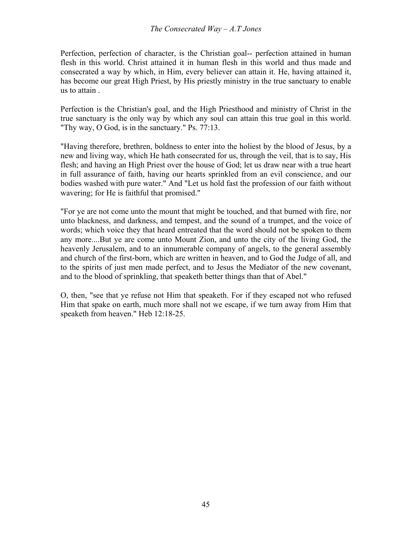Perfection, perfection of character, is the Christian goal-- perfection attained in human flesh in this world. Christ attained it in human flesh in this world and thus made and consecrated a way by which, in Him, every believer can attain it. He, having attained it, has become our great High Priest, by His priestly ministry in the true sanctuary to enable us to attain .

Perfection is the Christian's goal, and the High Priesthood and ministry of Christ in the true sanctuary is the only way by which any soul can attain this true goal in this world. "Thy way, O God, is in the sanctuary." Ps. 77:13.

"Having therefore, brethren, boldness to enter into the holiest by the blood of Jesus, by a new and living way, which He hath consecrated for us, through the veil, that is to say, His flesh; and having an High Priest over the house of God; let us draw near with a true heart in full assurance of faith, having our hearts sprinkled from an evil conscience, and our bodies washed with pure water." And "Let us hold fast the profession of our faith without wavering; for He is faithful that promised."

"For ye are not come unto the mount that might be touched, and that burned with fire, nor unto blackness, and darkness, and tempest, and the sound of a trumpet, and the voice of words; which voice they that heard entreated that the word should not be spoken to them any more....But ye are come unto Mount Zion, and unto the city of the living God, the heavenly Jerusalem, and to an innumerable company of angels, to the general assembly and church of the first-born, which are written in heaven, and to God the Judge of all, and to the spirits of just men made perfect, and to Jesus the Mediator of the new covenant, and to the blood of sprinkling, that speaketh better things than that of Abel."

O, then, "see that ye refuse not Him that speaketh. For if they escaped not who refused Him that spake on earth, much more shall not we escape, if we turn away from Him that speaketh from heaven." Heb 12:18-25.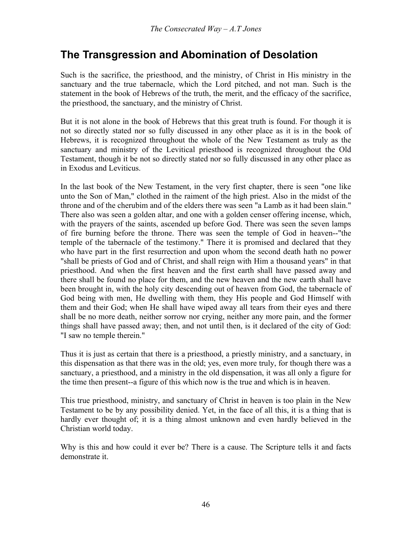# **The Transgression and Abomination of Desolation**

Such is the sacrifice, the priesthood, and the ministry, of Christ in His ministry in the sanctuary and the true tabernacle, which the Lord pitched, and not man. Such is the statement in the book of Hebrews of the truth, the merit, and the efficacy of the sacrifice, the priesthood, the sanctuary, and the ministry of Christ.

But it is not alone in the book of Hebrews that this great truth is found. For though it is not so directly stated nor so fully discussed in any other place as it is in the book of Hebrews, it is recognized throughout the whole of the New Testament as truly as the sanctuary and ministry of the Levitical priesthood is recognized throughout the Old Testament, though it be not so directly stated nor so fully discussed in any other place as in Exodus and Leviticus.

In the last book of the New Testament, in the very first chapter, there is seen "one like unto the Son of Man," clothed in the raiment of the high priest. Also in the midst of the throne and of the cherubim and of the elders there was seen "a Lamb as it had been slain." There also was seen a golden altar, and one with a golden censer offering incense, which, with the prayers of the saints, ascended up before God. There was seen the seven lamps of fire burning before the throne. There was seen the temple of God in heaven--"the temple of the tabernacle of the testimony." There it is promised and declared that they who have part in the first resurrection and upon whom the second death hath no power "shall be priests of God and of Christ, and shall reign with Him a thousand years" in that priesthood. And when the first heaven and the first earth shall have passed away and there shall be found no place for them, and the new heaven and the new earth shall have been brought in, with the holy city descending out of heaven from God, the tabernacle of God being with men, He dwelling with them, they His people and God Himself with them and their God; when He shall have wiped away all tears from their eyes and there shall be no more death, neither sorrow nor crying, neither any more pain, and the former things shall have passed away; then, and not until then, is it declared of the city of God: "I saw no temple therein."

Thus it is just as certain that there is a priesthood, a priestly ministry, and a sanctuary, in this dispensation as that there was in the old; yes, even more truly, for though there was a sanctuary, a priesthood, and a ministry in the old dispensation, it was all only a figure for the time then present--a figure of this which now is the true and which is in heaven.

This true priesthood, ministry, and sanctuary of Christ in heaven is too plain in the New Testament to be by any possibility denied. Yet, in the face of all this, it is a thing that is hardly ever thought of; it is a thing almost unknown and even hardly believed in the Christian world today.

Why is this and how could it ever be? There is a cause. The Scripture tells it and facts demonstrate it.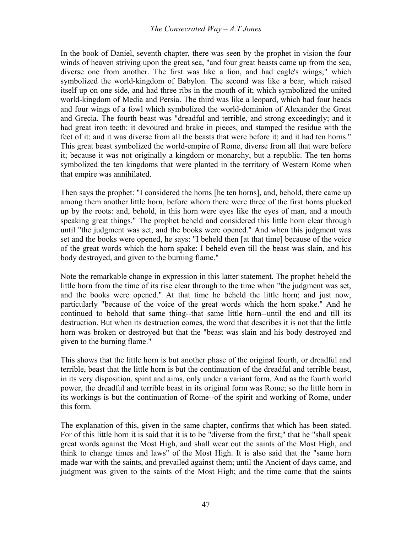In the book of Daniel, seventh chapter, there was seen by the prophet in vision the four winds of heaven striving upon the great sea, "and four great beasts came up from the sea, diverse one from another. The first was like a lion, and had eagle's wings;" which symbolized the world-kingdom of Babylon. The second was like a bear, which raised itself up on one side, and had three ribs in the mouth of it; which symbolized the united world-kingdom of Media and Persia. The third was like a leopard, which had four heads and four wings of a fowl which symbolized the world-dominion of Alexander the Great and Grecia. The fourth beast was "dreadful and terrible, and strong exceedingly; and it had great iron teeth: it devoured and brake in pieces, and stamped the residue with the feet of it: and it was diverse from all the beasts that were before it; and it had ten horns." This great beast symbolized the world-empire of Rome, diverse from all that were before it; because it was not originally a kingdom or monarchy, but a republic. The ten horns symbolized the ten kingdoms that were planted in the territory of Western Rome when that empire was annihilated.

Then says the prophet: "I considered the horns [he ten horns], and, behold, there came up among them another little horn, before whom there were three of the first horns plucked up by the roots: and, behold, in this horn were eyes like the eyes of man, and a mouth speaking great things." The prophet beheld and considered this little horn clear through until "the judgment was set, and the books were opened." And when this judgment was set and the books were opened, he says: "I beheld then [at that time] because of the voice of the great words which the horn spake: I beheld even till the beast was slain, and his body destroyed, and given to the burning flame."

Note the remarkable change in expression in this latter statement. The prophet beheld the little horn from the time of its rise clear through to the time when "the judgment was set, and the books were opened." At that time he beheld the little horn; and just now, particularly "because of the voice of the great words which the horn spake." And he continued to behold that same thing--that same little horn--until the end and till its destruction. But when its destruction comes, the word that describes it is not that the little horn was broken or destroyed but that the "beast was slain and his body destroyed and given to the burning flame."

This shows that the little horn is but another phase of the original fourth, or dreadful and terrible, beast that the little horn is but the continuation of the dreadful and terrible beast, in its very disposition, spirit and aims, only under a variant form. And as the fourth world power, the dreadful and terrible beast in its original form was Rome; so the little horn in its workings is but the continuation of Rome--of the spirit and working of Rome, under this form.

The explanation of this, given in the same chapter, confirms that which has been stated. For of this little horn it is said that it is to be "diverse from the first;" that he "shall speak great words against the Most High, and shall wear out the saints of the Most High, and think to change times and laws" of the Most High. It is also said that the "same horn made war with the saints, and prevailed against them; until the Ancient of days came, and judgment was given to the saints of the Most High; and the time came that the saints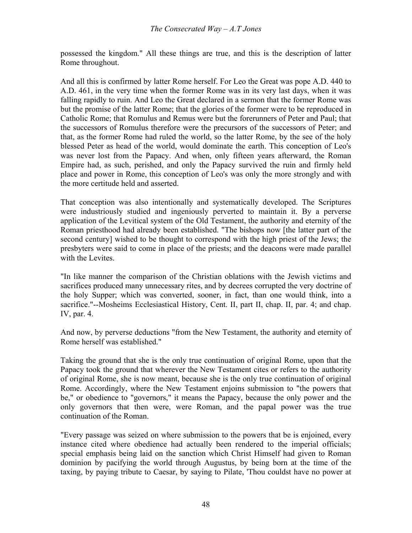possessed the kingdom." All these things are true, and this is the description of latter Rome throughout.

And all this is confirmed by latter Rome herself. For Leo the Great was pope A.D. 440 to A.D. 461, in the very time when the former Rome was in its very last days, when it was falling rapidly to ruin. And Leo the Great declared in a sermon that the former Rome was but the promise of the latter Rome; that the glories of the former were to be reproduced in Catholic Rome; that Romulus and Remus were but the forerunners of Peter and Paul; that the successors of Romulus therefore were the precursors of the successors of Peter; and that, as the former Rome had ruled the world, so the latter Rome, by the see of the holy blessed Peter as head of the world, would dominate the earth. This conception of Leo's was never lost from the Papacy. And when, only fifteen years afterward, the Roman Empire had, as such, perished, and only the Papacy survived the ruin and firmly held place and power in Rome, this conception of Leo's was only the more strongly and with the more certitude held and asserted.

That conception was also intentionally and systematically developed. The Scriptures were industriously studied and ingeniously perverted to maintain it. By a perverse application of the Levitical system of the Old Testament, the authority and eternity of the Roman priesthood had already been established. "The bishops now [the latter part of the second century] wished to be thought to correspond with the high priest of the Jews; the presbyters were said to come in place of the priests; and the deacons were made parallel with the Levites.

"In like manner the comparison of the Christian oblations with the Jewish victims and sacrifices produced many unnecessary rites, and by decrees corrupted the very doctrine of the holy Supper; which was converted, sooner, in fact, than one would think, into a sacrifice."--Mosheims Ecclesiastical History, Cent. II, part II, chap. II, par. 4; and chap. IV, par. 4.

And now, by perverse deductions "from the New Testament, the authority and eternity of Rome herself was established."

Taking the ground that she is the only true continuation of original Rome, upon that the Papacy took the ground that wherever the New Testament cites or refers to the authority of original Rome, she is now meant, because she is the only true continuation of original Rome. Accordingly, where the New Testament enjoins submission to "the powers that be," or obedience to "governors," it means the Papacy, because the only power and the only governors that then were, were Roman, and the papal power was the true continuation of the Roman.

"Every passage was seized on where submission to the powers that be is enjoined, every instance cited where obedience had actually been rendered to the imperial officials; special emphasis being laid on the sanction which Christ Himself had given to Roman dominion by pacifying the world through Augustus, by being born at the time of the taxing, by paying tribute to Caesar, by saying to Pilate, 'Thou couldst have no power at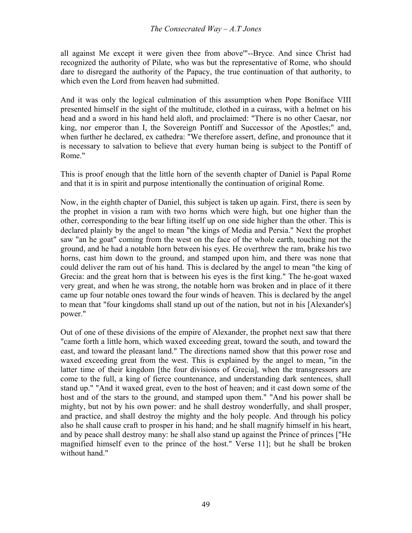all against Me except it were given thee from above'"--Bryce. And since Christ had recognized the authority of Pilate, who was but the representative of Rome, who should dare to disregard the authority of the Papacy, the true continuation of that authority, to which even the Lord from heaven had submitted.

And it was only the logical culmination of this assumption when Pope Boniface VIII presented himself in the sight of the multitude, clothed in a cuirass, with a helmet on his head and a sword in his hand held aloft, and proclaimed: "There is no other Caesar, nor king, nor emperor than I, the Sovereign Pontiff and Successor of the Apostles;" and, when further he declared, ex cathedra: "We therefore assert, define, and pronounce that it is necessary to salvation to believe that every human being is subject to the Pontiff of Rome."

This is proof enough that the little horn of the seventh chapter of Daniel is Papal Rome and that it is in spirit and purpose intentionally the continuation of original Rome.

Now, in the eighth chapter of Daniel, this subject is taken up again. First, there is seen by the prophet in vision a ram with two horns which were high, but one higher than the other, corresponding to the bear lifting itself up on one side higher than the other. This is declared plainly by the angel to mean "the kings of Media and Persia." Next the prophet saw "an he goat" coming from the west on the face of the whole earth, touching not the ground, and he had a notable horn between his eyes. He overthrew the ram, brake his two horns, cast him down to the ground, and stamped upon him, and there was none that could deliver the ram out of his hand. This is declared by the angel to mean "the king of Grecia: and the great horn that is between his eyes is the first king." The he-goat waxed very great, and when he was strong, the notable horn was broken and in place of it there came up four notable ones toward the four winds of heaven. This is declared by the angel to mean that "four kingdoms shall stand up out of the nation, but not in his [Alexander's] power."

Out of one of these divisions of the empire of Alexander, the prophet next saw that there "came forth a little horn, which waxed exceeding great, toward the south, and toward the east, and toward the pleasant land." The directions named show that this power rose and waxed exceeding great from the west. This is explained by the angel to mean, "in the latter time of their kingdom [the four divisions of Grecia], when the transgressors are come to the full, a king of fierce countenance, and understanding dark sentences, shall stand up." "And it waxed great, even to the host of heaven; and it cast down some of the host and of the stars to the ground, and stamped upon them." "And his power shall be mighty, but not by his own power: and he shall destroy wonderfully, and shall prosper, and practice, and shall destroy the mighty and the holy people. And through his policy also he shall cause craft to prosper in his hand; and he shall magnify himself in his heart, and by peace shall destroy many: he shall also stand up against the Prince of princes ["He magnified himself even to the prince of the host." Verse 11]; but he shall be broken without hand."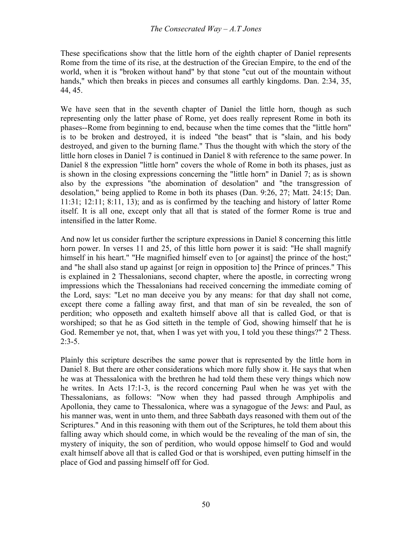These specifications show that the little horn of the eighth chapter of Daniel represents Rome from the time of its rise, at the destruction of the Grecian Empire, to the end of the world, when it is "broken without hand" by that stone "cut out of the mountain without hands," which then breaks in pieces and consumes all earthly kingdoms. Dan. 2:34, 35, 44, 45.

We have seen that in the seventh chapter of Daniel the little horn, though as such representing only the latter phase of Rome, yet does really represent Rome in both its phases--Rome from beginning to end, because when the time comes that the "little horn" is to be broken and destroyed, it is indeed "the beast" that is "slain, and his body destroyed, and given to the burning flame." Thus the thought with which the story of the little horn closes in Daniel 7 is continued in Daniel 8 with reference to the same power. In Daniel 8 the expression "little horn" covers the whole of Rome in both its phases, just as is shown in the closing expressions concerning the "little horn" in Daniel 7; as is shown also by the expressions "the abomination of desolation" and "the transgression of desolation," being applied to Rome in both its phases (Dan. 9:26, 27; Matt. 24:15; Dan. 11:31; 12:11; 8:11, 13); and as is confirmed by the teaching and history of latter Rome itself. It is all one, except only that all that is stated of the former Rome is true and intensified in the latter Rome.

And now let us consider further the scripture expressions in Daniel 8 concerning this little horn power. In verses 11 and 25, of this little horn power it is said: "He shall magnify himself in his heart." "He magnified himself even to [or against] the prince of the host;" and "he shall also stand up against [or reign in opposition to] the Prince of princes." This is explained in 2 Thessalonians, second chapter, where the apostle, in correcting wrong impressions which the Thessalonians had received concerning the immediate coming of the Lord, says: "Let no man deceive you by any means: for that day shall not come, except there come a falling away first, and that man of sin be revealed, the son of perdition; who opposeth and exalteth himself above all that is called God, or that is worshiped; so that he as God sitteth in the temple of God, showing himself that he is God. Remember ye not, that, when I was yet with you, I told you these things?" 2 Thess.  $2:3-5.$ 

Plainly this scripture describes the same power that is represented by the little horn in Daniel 8. But there are other considerations which more fully show it. He says that when he was at Thessalonica with the brethren he had told them these very things which now he writes. In Acts 17:1-3, is the record concerning Paul when he was yet with the Thessalonians, as follows: "Now when they had passed through Amphipolis and Apollonia, they came to Thessalonica, where was a synagogue of the Jews: and Paul, as his manner was, went in unto them, and three Sabbath days reasoned with them out of the Scriptures." And in this reasoning with them out of the Scriptures, he told them about this falling away which should come, in which would be the revealing of the man of sin, the mystery of iniquity, the son of perdition, who would oppose himself to God and would exalt himself above all that is called God or that is worshiped, even putting himself in the place of God and passing himself off for God.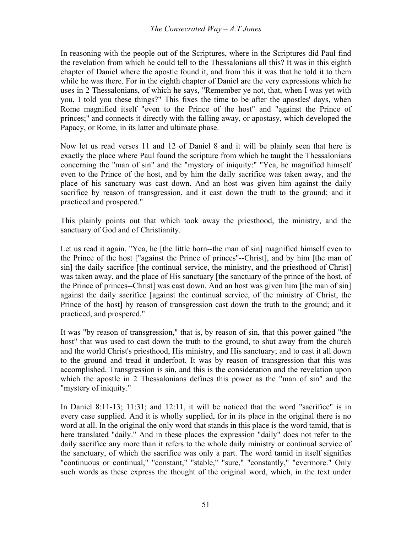In reasoning with the people out of the Scriptures, where in the Scriptures did Paul find the revelation from which he could tell to the Thessalonians all this? It was in this eighth chapter of Daniel where the apostle found it, and from this it was that he told it to them while he was there. For in the eighth chapter of Daniel are the very expressions which he uses in 2 Thessalonians, of which he says, "Remember ye not, that, when I was yet with you, I told you these things?" This fixes the time to be after the apostles' days, when Rome magnified itself "even to the Prince of the host" and "against the Prince of princes;" and connects it directly with the falling away, or apostasy, which developed the Papacy, or Rome, in its latter and ultimate phase.

Now let us read verses 11 and 12 of Daniel 8 and it will be plainly seen that here is exactly the place where Paul found the scripture from which he taught the Thessalonians concerning the "man of sin" and the "mystery of iniquity:" "Yea, he magnified himself even to the Prince of the host, and by him the daily sacrifice was taken away, and the place of his sanctuary was cast down. And an host was given him against the daily sacrifice by reason of transgression, and it cast down the truth to the ground; and it practiced and prospered."

This plainly points out that which took away the priesthood, the ministry, and the sanctuary of God and of Christianity.

Let us read it again. "Yea, he [the little horn--the man of sin] magnified himself even to the Prince of the host ["against the Prince of princes"--Christ], and by him [the man of sin] the daily sacrifice [the continual service, the ministry, and the priesthood of Christ] was taken away, and the place of His sanctuary [the sanctuary of the prince of the host, of the Prince of princes--Christ] was cast down. And an host was given him [the man of sin] against the daily sacrifice [against the continual service, of the ministry of Christ, the Prince of the host] by reason of transgression cast down the truth to the ground; and it practiced, and prospered."

It was "by reason of transgression," that is, by reason of sin, that this power gained "the host" that was used to cast down the truth to the ground, to shut away from the church and the world Christ's priesthood, His ministry, and His sanctuary; and to cast it all down to the ground and tread it underfoot. It was by reason of transgression that this was accomplished. Transgression is sin, and this is the consideration and the revelation upon which the apostle in 2 Thessalonians defines this power as the "man of sin" and the "mystery of iniquity."

In Daniel 8:11-13; 11:31; and 12:11, it will be noticed that the word "sacrifice" is in every case supplied. And it is wholly supplied, for in its place in the original there is no word at all. In the original the only word that stands in this place is the word tamid, that is here translated "daily." And in these places the expression "daily" does not refer to the daily sacrifice any more than it refers to the whole daily ministry or continual service of the sanctuary, of which the sacrifice was only a part. The word tamid in itself signifies "continuous or continual," "constant," "stable," "sure," "constantly," "evermore." Only such words as these express the thought of the original word, which, in the text under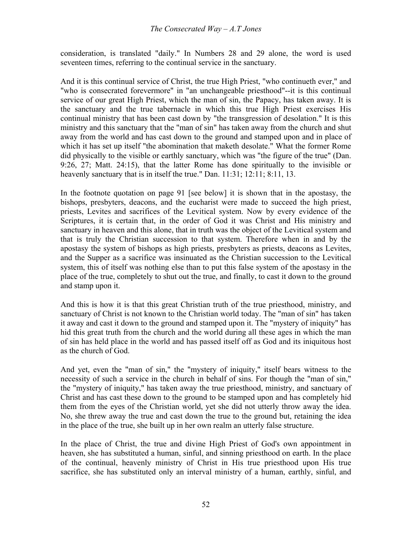consideration, is translated "daily." In Numbers 28 and 29 alone, the word is used seventeen times, referring to the continual service in the sanctuary.

And it is this continual service of Christ, the true High Priest, "who continueth ever," and "who is consecrated forevermore" in "an unchangeable priesthood"--it is this continual service of our great High Priest, which the man of sin, the Papacy, has taken away. It is the sanctuary and the true tabernacle in which this true High Priest exercises His continual ministry that has been cast down by "the transgression of desolation." It is this ministry and this sanctuary that the "man of sin" has taken away from the church and shut away from the world and has cast down to the ground and stamped upon and in place of which it has set up itself "the abomination that maketh desolate." What the former Rome did physically to the visible or earthly sanctuary, which was "the figure of the true" (Dan. 9:26, 27; Matt. 24:15), that the latter Rome has done spiritually to the invisible or heavenly sanctuary that is in itself the true." Dan. 11:31; 12:11; 8:11, 13.

In the footnote quotation on page 91 [see below] it is shown that in the apostasy, the bishops, presbyters, deacons, and the eucharist were made to succeed the high priest, priests, Levites and sacrifices of the Levitical system. Now by every evidence of the Scriptures, it is certain that, in the order of God it was Christ and His ministry and sanctuary in heaven and this alone, that in truth was the object of the Levitical system and that is truly the Christian succession to that system. Therefore when in and by the apostasy the system of bishops as high priests, presbyters as priests, deacons as Levites, and the Supper as a sacrifice was insinuated as the Christian succession to the Levitical system, this of itself was nothing else than to put this false system of the apostasy in the place of the true, completely to shut out the true, and finally, to cast it down to the ground and stamp upon it.

And this is how it is that this great Christian truth of the true priesthood, ministry, and sanctuary of Christ is not known to the Christian world today. The "man of sin" has taken it away and cast it down to the ground and stamped upon it. The "mystery of iniquity" has hid this great truth from the church and the world during all these ages in which the man of sin has held place in the world and has passed itself off as God and its iniquitous host as the church of God.

And yet, even the "man of sin," the "mystery of iniquity," itself bears witness to the necessity of such a service in the church in behalf of sins. For though the "man of sin," the "mystery of iniquity," has taken away the true priesthood, ministry, and sanctuary of Christ and has cast these down to the ground to be stamped upon and has completely hid them from the eyes of the Christian world, yet she did not utterly throw away the idea. No, she threw away the true and cast down the true to the ground but, retaining the idea in the place of the true, she built up in her own realm an utterly false structure.

In the place of Christ, the true and divine High Priest of God's own appointment in heaven, she has substituted a human, sinful, and sinning priesthood on earth. In the place of the continual, heavenly ministry of Christ in His true priesthood upon His true sacrifice, she has substituted only an interval ministry of a human, earthly, sinful, and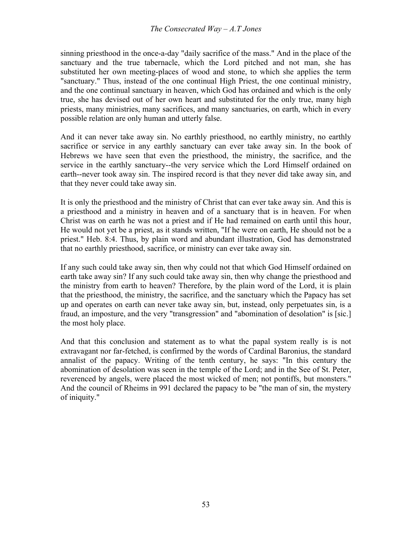sinning priesthood in the once-a-day "daily sacrifice of the mass." And in the place of the sanctuary and the true tabernacle, which the Lord pitched and not man, she has substituted her own meeting-places of wood and stone, to which she applies the term "sanctuary." Thus, instead of the one continual High Priest, the one continual ministry, and the one continual sanctuary in heaven, which God has ordained and which is the only true, she has devised out of her own heart and substituted for the only true, many high priests, many ministries, many sacrifices, and many sanctuaries, on earth, which in every possible relation are only human and utterly false.

And it can never take away sin. No earthly priesthood, no earthly ministry, no earthly sacrifice or service in any earthly sanctuary can ever take away sin. In the book of Hebrews we have seen that even the priesthood, the ministry, the sacrifice, and the service in the earthly sanctuary--the very service which the Lord Himself ordained on earth--never took away sin. The inspired record is that they never did take away sin, and that they never could take away sin.

It is only the priesthood and the ministry of Christ that can ever take away sin. And this is a priesthood and a ministry in heaven and of a sanctuary that is in heaven. For when Christ was on earth he was not a priest and if He had remained on earth until this hour, He would not yet be a priest, as it stands written, "If he were on earth, He should not be a priest." Heb. 8:4. Thus, by plain word and abundant illustration, God has demonstrated that no earthly priesthood, sacrifice, or ministry can ever take away sin.

If any such could take away sin, then why could not that which God Himself ordained on earth take away sin? If any such could take away sin, then why change the priesthood and the ministry from earth to heaven? Therefore, by the plain word of the Lord, it is plain that the priesthood, the ministry, the sacrifice, and the sanctuary which the Papacy has set up and operates on earth can never take away sin, but, instead, only perpetuates sin, is a fraud, an imposture, and the very "transgression" and "abomination of desolation" is [sic.] the most holy place.

And that this conclusion and statement as to what the papal system really is is not extravagant nor far-fetched, is confirmed by the words of Cardinal Baronius, the standard annalist of the papacy. Writing of the tenth century, he says: "In this century the abomination of desolation was seen in the temple of the Lord; and in the See of St. Peter, reverenced by angels, were placed the most wicked of men; not pontiffs, but monsters." And the council of Rheims in 991 declared the papacy to be "the man of sin, the mystery of iniquity."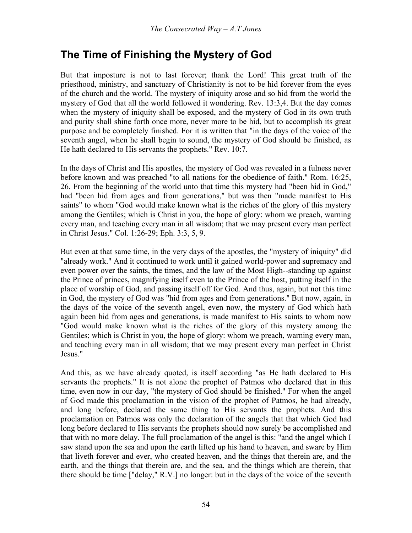### **The Time of Finishing the Mystery of God**

But that imposture is not to last forever; thank the Lord! This great truth of the priesthood, ministry, and sanctuary of Christianity is not to be hid forever from the eyes of the church and the world. The mystery of iniquity arose and so hid from the world the mystery of God that all the world followed it wondering. Rev. 13:3,4. But the day comes when the mystery of iniquity shall be exposed, and the mystery of God in its own truth and purity shall shine forth once more, never more to be hid, but to accomplish its great purpose and be completely finished. For it is written that "in the days of the voice of the seventh angel, when he shall begin to sound, the mystery of God should be finished, as He hath declared to His servants the prophets." Rev. 10:7.

In the days of Christ and His apostles, the mystery of God was revealed in a fulness never before known and was preached "to all nations for the obedience of faith." Rom. 16:25, 26. From the beginning of the world unto that time this mystery had "been hid in God," had "been hid from ages and from generations," but was then "made manifest to His saints" to whom "God would make known what is the riches of the glory of this mystery among the Gentiles; which is Christ in you, the hope of glory: whom we preach, warning every man, and teaching every man in all wisdom; that we may present every man perfect in Christ Jesus." Col. 1:26-29; Eph. 3:3, 5, 9.

But even at that same time, in the very days of the apostles, the "mystery of iniquity" did "already work." And it continued to work until it gained world-power and supremacy and even power over the saints, the times, and the law of the Most High--standing up against the Prince of princes, magnifying itself even to the Prince of the host, putting itself in the place of worship of God, and passing itself off for God. And thus, again, but not this time in God, the mystery of God was "hid from ages and from generations." But now, again, in the days of the voice of the seventh angel, even now, the mystery of God which hath again been hid from ages and generations, is made manifest to His saints to whom now "God would make known what is the riches of the glory of this mystery among the Gentiles; which is Christ in you, the hope of glory: whom we preach, warning every man, and teaching every man in all wisdom; that we may present every man perfect in Christ Jesus."

And this, as we have already quoted, is itself according "as He hath declared to His servants the prophets." It is not alone the prophet of Patmos who declared that in this time, even now in our day, "the mystery of God should be finished." For when the angel of God made this proclamation in the vision of the prophet of Patmos, he had already, and long before, declared the same thing to His servants the prophets. And this proclamation on Patmos was only the declaration of the angels that that which God had long before declared to His servants the prophets should now surely be accomplished and that with no more delay. The full proclamation of the angel is this: "and the angel which I saw stand upon the sea and upon the earth lifted up his hand to heaven, and sware by Him that liveth forever and ever, who created heaven, and the things that therein are, and the earth, and the things that therein are, and the sea, and the things which are therein, that there should be time ["delay," R.V.] no longer: but in the days of the voice of the seventh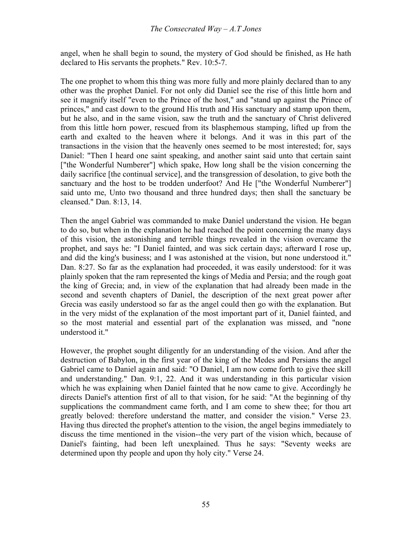angel, when he shall begin to sound, the mystery of God should be finished, as He hath declared to His servants the prophets." Rev. 10:5-7.

The one prophet to whom this thing was more fully and more plainly declared than to any other was the prophet Daniel. For not only did Daniel see the rise of this little horn and see it magnify itself "even to the Prince of the host," and "stand up against the Prince of princes," and cast down to the ground His truth and His sanctuary and stamp upon them, but he also, and in the same vision, saw the truth and the sanctuary of Christ delivered from this little horn power, rescued from its blasphemous stamping, lifted up from the earth and exalted to the heaven where it belongs. And it was in this part of the transactions in the vision that the heavenly ones seemed to be most interested; for, says Daniel: "Then I heard one saint speaking, and another saint said unto that certain saint ["the Wonderful Numberer"] which spake, How long shall be the vision concerning the daily sacrifice [the continual service], and the transgression of desolation, to give both the sanctuary and the host to be trodden underfoot? And He ["the Wonderful Numberer"] said unto me, Unto two thousand and three hundred days; then shall the sanctuary be cleansed." Dan. 8:13, 14.

Then the angel Gabriel was commanded to make Daniel understand the vision. He began to do so, but when in the explanation he had reached the point concerning the many days of this vision, the astonishing and terrible things revealed in the vision overcame the prophet, and says he: "I Daniel fainted, and was sick certain days; afterward I rose up, and did the king's business; and I was astonished at the vision, but none understood it." Dan. 8:27. So far as the explanation had proceeded, it was easily understood: for it was plainly spoken that the ram represented the kings of Media and Persia; and the rough goat the king of Grecia; and, in view of the explanation that had already been made in the second and seventh chapters of Daniel, the description of the next great power after Grecia was easily understood so far as the angel could then go with the explanation. But in the very midst of the explanation of the most important part of it, Daniel fainted, and so the most material and essential part of the explanation was missed, and "none understood it."

However, the prophet sought diligently for an understanding of the vision. And after the destruction of Babylon, in the first year of the king of the Medes and Persians the angel Gabriel came to Daniel again and said: "O Daniel, I am now come forth to give thee skill and understanding." Dan. 9:1, 22. And it was understanding in this particular vision which he was explaining when Daniel fainted that he now came to give. Accordingly he directs Daniel's attention first of all to that vision, for he said: "At the beginning of thy supplications the commandment came forth, and I am come to shew thee; for thou art greatly beloved: therefore understand the matter, and consider the vision." Verse 23. Having thus directed the prophet's attention to the vision, the angel begins immediately to discuss the time mentioned in the vision--the very part of the vision which, because of Daniel's fainting, had been left unexplained. Thus he says: "Seventy weeks are determined upon thy people and upon thy holy city." Verse 24.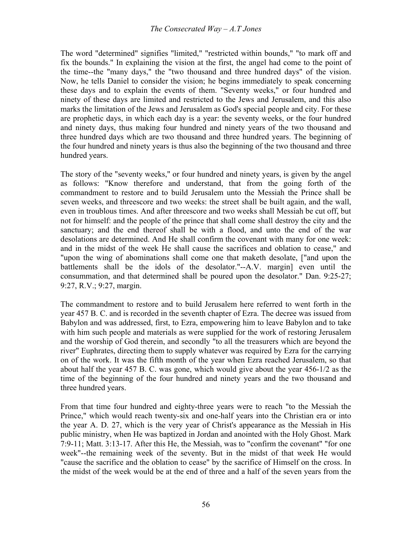The word "determined" signifies "limited," "restricted within bounds," "to mark off and fix the bounds." In explaining the vision at the first, the angel had come to the point of the time--the "many days," the "two thousand and three hundred days" of the vision. Now, he tells Daniel to consider the vision; he begins immediately to speak concerning these days and to explain the events of them. "Seventy weeks," or four hundred and ninety of these days are limited and restricted to the Jews and Jerusalem, and this also marks the limitation of the Jews and Jerusalem as God's special people and city. For these are prophetic days, in which each day is a year: the seventy weeks, or the four hundred and ninety days, thus making four hundred and ninety years of the two thousand and three hundred days which are two thousand and three hundred years. The beginning of the four hundred and ninety years is thus also the beginning of the two thousand and three hundred years.

The story of the "seventy weeks," or four hundred and ninety years, is given by the angel as follows: "Know therefore and understand, that from the going forth of the commandment to restore and to build Jerusalem unto the Messiah the Prince shall be seven weeks, and threescore and two weeks: the street shall be built again, and the wall, even in troublous times. And after threescore and two weeks shall Messiah be cut off, but not for himself: and the people of the prince that shall come shall destroy the city and the sanctuary; and the end thereof shall be with a flood, and unto the end of the war desolations are determined. And He shall confirm the covenant with many for one week: and in the midst of the week He shall cause the sacrifices and oblation to cease," and "upon the wing of abominations shall come one that maketh desolate, ["and upon the battlements shall be the idols of the desolator."--A.V. margin] even until the consummation, and that determined shall be poured upon the desolator." Dan. 9:25-27; 9:27, R.V.; 9:27, margin.

The commandment to restore and to build Jerusalem here referred to went forth in the year 457 B. C. and is recorded in the seventh chapter of Ezra. The decree was issued from Babylon and was addressed, first, to Ezra, empowering him to leave Babylon and to take with him such people and materials as were supplied for the work of restoring Jerusalem and the worship of God therein, and secondly "to all the treasurers which are beyond the river" Euphrates, directing them to supply whatever was required by Ezra for the carrying on of the work. It was the fifth month of the year when Ezra reached Jerusalem, so that about half the year 457 B. C. was gone, which would give about the year 456-1/2 as the time of the beginning of the four hundred and ninety years and the two thousand and three hundred years.

From that time four hundred and eighty-three years were to reach "to the Messiah the Prince," which would reach twenty-six and one-half years into the Christian era or into the year A. D. 27, which is the very year of Christ's appearance as the Messiah in His public ministry, when He was baptized in Jordan and anointed with the Holy Ghost. Mark 7:9-11; Matt. 3:13-17. After this He, the Messiah, was to "confirm the covenant" "for one week"--the remaining week of the seventy. But in the midst of that week He would "cause the sacrifice and the oblation to cease" by the sacrifice of Himself on the cross. In the midst of the week would be at the end of three and a half of the seven years from the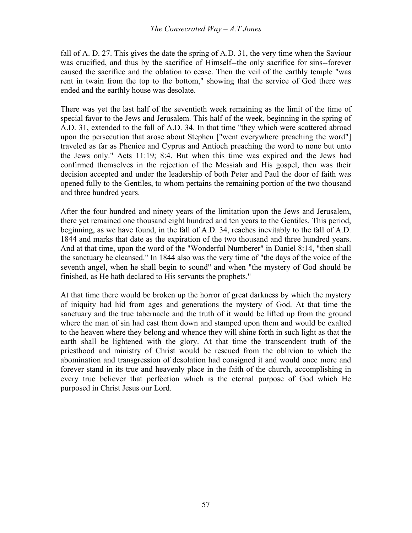fall of A. D. 27. This gives the date the spring of A.D. 31, the very time when the Saviour was crucified, and thus by the sacrifice of Himself--the only sacrifice for sins--forever caused the sacrifice and the oblation to cease. Then the veil of the earthly temple "was rent in twain from the top to the bottom," showing that the service of God there was ended and the earthly house was desolate.

There was yet the last half of the seventieth week remaining as the limit of the time of special favor to the Jews and Jerusalem. This half of the week, beginning in the spring of A.D. 31, extended to the fall of A.D. 34. In that time "they which were scattered abroad upon the persecution that arose about Stephen ["went everywhere preaching the word"] traveled as far as Phenice and Cyprus and Antioch preaching the word to none but unto the Jews only." Acts 11:19; 8:4. But when this time was expired and the Jews had confirmed themselves in the rejection of the Messiah and His gospel, then was their decision accepted and under the leadership of both Peter and Paul the door of faith was opened fully to the Gentiles, to whom pertains the remaining portion of the two thousand and three hundred years.

After the four hundred and ninety years of the limitation upon the Jews and Jerusalem, there yet remained one thousand eight hundred and ten years to the Gentiles. This period, beginning, as we have found, in the fall of A.D. 34, reaches inevitably to the fall of A.D. 1844 and marks that date as the expiration of the two thousand and three hundred years. And at that time, upon the word of the "Wonderful Numberer" in Daniel 8:14, "then shall the sanctuary be cleansed." In 1844 also was the very time of "the days of the voice of the seventh angel, when he shall begin to sound" and when "the mystery of God should be finished, as He hath declared to His servants the prophets."

At that time there would be broken up the horror of great darkness by which the mystery of iniquity had hid from ages and generations the mystery of God. At that time the sanctuary and the true tabernacle and the truth of it would be lifted up from the ground where the man of sin had cast them down and stamped upon them and would be exalted to the heaven where they belong and whence they will shine forth in such light as that the earth shall be lightened with the glory. At that time the transcendent truth of the priesthood and ministry of Christ would be rescued from the oblivion to which the abomination and transgression of desolation had consigned it and would once more and forever stand in its true and heavenly place in the faith of the church, accomplishing in every true believer that perfection which is the eternal purpose of God which He purposed in Christ Jesus our Lord.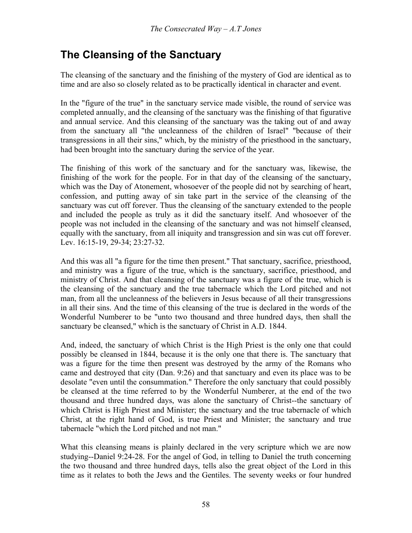# **The Cleansing of the Sanctuary**

The cleansing of the sanctuary and the finishing of the mystery of God are identical as to time and are also so closely related as to be practically identical in character and event.

In the "figure of the true" in the sanctuary service made visible, the round of service was completed annually, and the cleansing of the sanctuary was the finishing of that figurative and annual service. And this cleansing of the sanctuary was the taking out of and away from the sanctuary all "the uncleanness of the children of Israel" "because of their transgressions in all their sins," which, by the ministry of the priesthood in the sanctuary, had been brought into the sanctuary during the service of the year.

The finishing of this work of the sanctuary and for the sanctuary was, likewise, the finishing of the work for the people. For in that day of the cleansing of the sanctuary, which was the Day of Atonement, whosoever of the people did not by searching of heart, confession, and putting away of sin take part in the service of the cleansing of the sanctuary was cut off forever. Thus the cleansing of the sanctuary extended to the people and included the people as truly as it did the sanctuary itself. And whosoever of the people was not included in the cleansing of the sanctuary and was not himself cleansed, equally with the sanctuary, from all iniquity and transgression and sin was cut off forever. Lev. 16:15-19, 29-34; 23:27-32.

And this was all "a figure for the time then present." That sanctuary, sacrifice, priesthood, and ministry was a figure of the true, which is the sanctuary, sacrifice, priesthood, and ministry of Christ. And that cleansing of the sanctuary was a figure of the true, which is the cleansing of the sanctuary and the true tabernacle which the Lord pitched and not man, from all the uncleanness of the believers in Jesus because of all their transgressions in all their sins. And the time of this cleansing of the true is declared in the words of the Wonderful Numberer to be "unto two thousand and three hundred days, then shall the sanctuary be cleansed," which is the sanctuary of Christ in A.D. 1844.

And, indeed, the sanctuary of which Christ is the High Priest is the only one that could possibly be cleansed in 1844, because it is the only one that there is. The sanctuary that was a figure for the time then present was destroyed by the army of the Romans who came and destroyed that city (Dan. 9:26) and that sanctuary and even its place was to be desolate "even until the consummation." Therefore the only sanctuary that could possibly be cleansed at the time referred to by the Wonderful Numberer, at the end of the two thousand and three hundred days, was alone the sanctuary of Christ--the sanctuary of which Christ is High Priest and Minister; the sanctuary and the true tabernacle of which Christ, at the right hand of God, is true Priest and Minister; the sanctuary and true tabernacle "which the Lord pitched and not man."

What this cleansing means is plainly declared in the very scripture which we are now studying--Daniel 9:24-28. For the angel of God, in telling to Daniel the truth concerning the two thousand and three hundred days, tells also the great object of the Lord in this time as it relates to both the Jews and the Gentiles. The seventy weeks or four hundred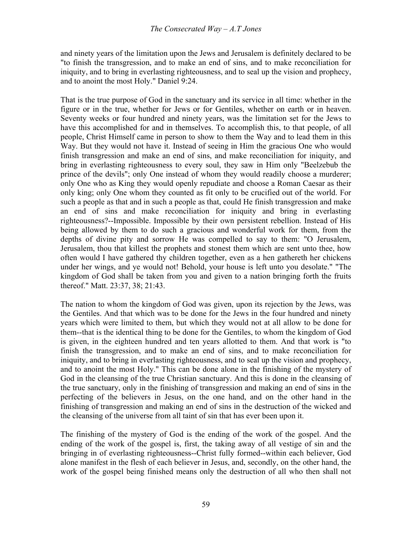and ninety years of the limitation upon the Jews and Jerusalem is definitely declared to be "to finish the transgression, and to make an end of sins, and to make reconciliation for iniquity, and to bring in everlasting righteousness, and to seal up the vision and prophecy, and to anoint the most Holy." Daniel 9:24.

That is the true purpose of God in the sanctuary and its service in all time: whether in the figure or in the true, whether for Jews or for Gentiles, whether on earth or in heaven. Seventy weeks or four hundred and ninety years, was the limitation set for the Jews to have this accomplished for and in themselves. To accomplish this, to that people, of all people, Christ Himself came in person to show to them the Way and to lead them in this Way. But they would not have it. Instead of seeing in Him the gracious One who would finish transgression and make an end of sins, and make reconciliation for iniquity, and bring in everlasting righteousness to every soul, they saw in Him only "Beelzebub the prince of the devils"; only One instead of whom they would readily choose a murderer; only One who as King they would openly repudiate and choose a Roman Caesar as their only king; only One whom they counted as fit only to be crucified out of the world. For such a people as that and in such a people as that, could He finish transgression and make an end of sins and make reconciliation for iniquity and bring in everlasting righteousness?--Impossible. Impossible by their own persistent rebellion. Instead of His being allowed by them to do such a gracious and wonderful work for them, from the depths of divine pity and sorrow He was compelled to say to them: "O Jerusalem, Jerusalem, thou that killest the prophets and stonest them which are sent unto thee, how often would I have gathered thy children together, even as a hen gathereth her chickens under her wings, and ye would not! Behold, your house is left unto you desolate." "The kingdom of God shall be taken from you and given to a nation bringing forth the fruits thereof." Matt. 23:37, 38; 21:43.

The nation to whom the kingdom of God was given, upon its rejection by the Jews, was the Gentiles. And that which was to be done for the Jews in the four hundred and ninety years which were limited to them, but which they would not at all allow to be done for them--that is the identical thing to be done for the Gentiles, to whom the kingdom of God is given, in the eighteen hundred and ten years allotted to them. And that work is "to finish the transgression, and to make an end of sins, and to make reconciliation for iniquity, and to bring in everlasting righteousness, and to seal up the vision and prophecy, and to anoint the most Holy." This can be done alone in the finishing of the mystery of God in the cleansing of the true Christian sanctuary. And this is done in the cleansing of the true sanctuary, only in the finishing of transgression and making an end of sins in the perfecting of the believers in Jesus, on the one hand, and on the other hand in the finishing of transgression and making an end of sins in the destruction of the wicked and the cleansing of the universe from all taint of sin that has ever been upon it.

The finishing of the mystery of God is the ending of the work of the gospel. And the ending of the work of the gospel is, first, the taking away of all vestige of sin and the bringing in of everlasting righteousness--Christ fully formed--within each believer, God alone manifest in the flesh of each believer in Jesus, and, secondly, on the other hand, the work of the gospel being finished means only the destruction of all who then shall not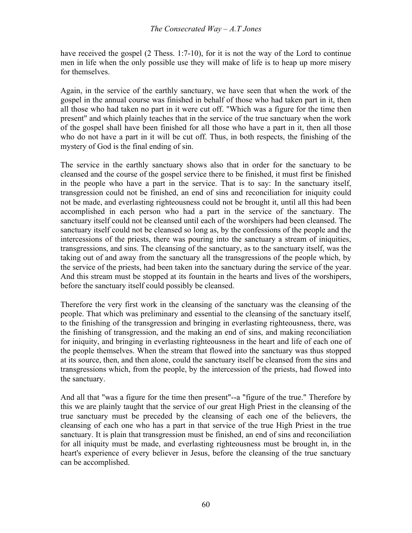have received the gospel (2 Thess. 1:7-10), for it is not the way of the Lord to continue men in life when the only possible use they will make of life is to heap up more misery for themselves.

Again, in the service of the earthly sanctuary, we have seen that when the work of the gospel in the annual course was finished in behalf of those who had taken part in it, then all those who had taken no part in it were cut off. "Which was a figure for the time then present" and which plainly teaches that in the service of the true sanctuary when the work of the gospel shall have been finished for all those who have a part in it, then all those who do not have a part in it will be cut off. Thus, in both respects, the finishing of the mystery of God is the final ending of sin.

The service in the earthly sanctuary shows also that in order for the sanctuary to be cleansed and the course of the gospel service there to be finished, it must first be finished in the people who have a part in the service. That is to say: In the sanctuary itself, transgression could not be finished, an end of sins and reconciliation for iniquity could not be made, and everlasting righteousness could not be brought it, until all this had been accomplished in each person who had a part in the service of the sanctuary. The sanctuary itself could not be cleansed until each of the worshipers had been cleansed. The sanctuary itself could not be cleansed so long as, by the confessions of the people and the intercessions of the priests, there was pouring into the sanctuary a stream of iniquities, transgressions, and sins. The cleansing of the sanctuary, as to the sanctuary itself, was the taking out of and away from the sanctuary all the transgressions of the people which, by the service of the priests, had been taken into the sanctuary during the service of the year. And this stream must be stopped at its fountain in the hearts and lives of the worshipers, before the sanctuary itself could possibly be cleansed.

Therefore the very first work in the cleansing of the sanctuary was the cleansing of the people. That which was preliminary and essential to the cleansing of the sanctuary itself, to the finishing of the transgression and bringing in everlasting righteousness, there, was the finishing of transgression, and the making an end of sins, and making reconciliation for iniquity, and bringing in everlasting righteousness in the heart and life of each one of the people themselves. When the stream that flowed into the sanctuary was thus stopped at its source, then, and then alone, could the sanctuary itself be cleansed from the sins and transgressions which, from the people, by the intercession of the priests, had flowed into the sanctuary.

And all that "was a figure for the time then present"--a "figure of the true." Therefore by this we are plainly taught that the service of our great High Priest in the cleansing of the true sanctuary must be preceded by the cleansing of each one of the believers, the cleansing of each one who has a part in that service of the true High Priest in the true sanctuary. It is plain that transgression must be finished, an end of sins and reconciliation for all iniquity must be made, and everlasting righteousness must be brought in, in the heart's experience of every believer in Jesus, before the cleansing of the true sanctuary can be accomplished.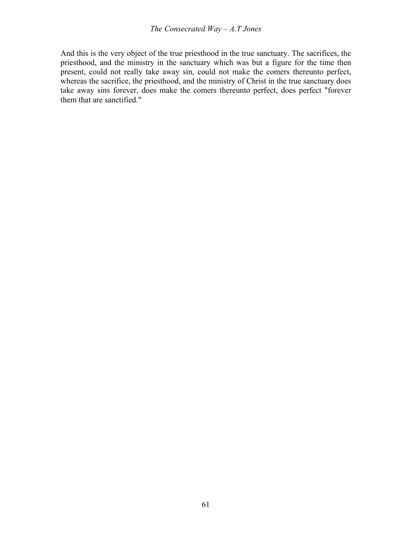And this is the very object of the true priesthood in the true sanctuary. The sacrifices, the priesthood, and the ministry in the sanctuary which was but a figure for the time then present, could not really take away sin, could not make the comers thereunto perfect, whereas the sacrifice, the priesthood, and the ministry of Christ in the true sanctuary does take away sins forever, does make the comers thereunto perfect, does perfect "forever them that are sanctified."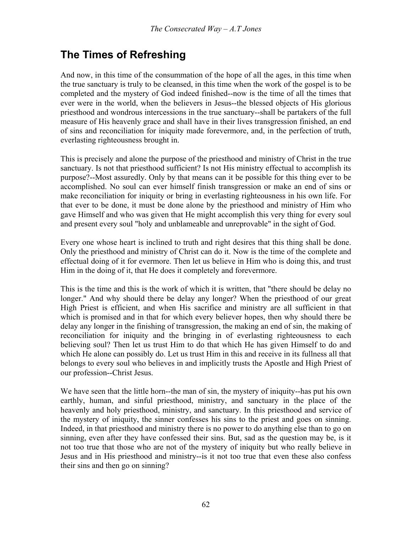# **The Times of Refreshing**

And now, in this time of the consummation of the hope of all the ages, in this time when the true sanctuary is truly to be cleansed, in this time when the work of the gospel is to be completed and the mystery of God indeed finished--now is the time of all the times that ever were in the world, when the believers in Jesus--the blessed objects of His glorious priesthood and wondrous intercessions in the true sanctuary--shall be partakers of the full measure of His heavenly grace and shall have in their lives transgression finished, an end of sins and reconciliation for iniquity made forevermore, and, in the perfection of truth, everlasting righteousness brought in.

This is precisely and alone the purpose of the priesthood and ministry of Christ in the true sanctuary. Is not that priesthood sufficient? Is not His ministry effectual to accomplish its purpose?--Most assuredly. Only by that means can it be possible for this thing ever to be accomplished. No soul can ever himself finish transgression or make an end of sins or make reconciliation for iniquity or bring in everlasting righteousness in his own life. For that ever to be done, it must be done alone by the priesthood and ministry of Him who gave Himself and who was given that He might accomplish this very thing for every soul and present every soul "holy and unblameable and unreprovable" in the sight of God.

Every one whose heart is inclined to truth and right desires that this thing shall be done. Only the priesthood and ministry of Christ can do it. Now is the time of the complete and effectual doing of it for evermore. Then let us believe in Him who is doing this, and trust Him in the doing of it, that He does it completely and forevermore.

This is the time and this is the work of which it is written, that "there should be delay no longer." And why should there be delay any longer? When the priesthood of our great High Priest is efficient, and when His sacrifice and ministry are all sufficient in that which is promised and in that for which every believer hopes, then why should there be delay any longer in the finishing of transgression, the making an end of sin, the making of reconciliation for iniquity and the bringing in of everlasting righteousness to each believing soul? Then let us trust Him to do that which He has given Himself to do and which He alone can possibly do. Let us trust Him in this and receive in its fullness all that belongs to every soul who believes in and implicitly trusts the Apostle and High Priest of our profession--Christ Jesus.

We have seen that the little horn--the man of sin, the mystery of iniquity--has put his own earthly, human, and sinful priesthood, ministry, and sanctuary in the place of the heavenly and holy priesthood, ministry, and sanctuary. In this priesthood and service of the mystery of iniquity, the sinner confesses his sins to the priest and goes on sinning. Indeed, in that priesthood and ministry there is no power to do anything else than to go on sinning, even after they have confessed their sins. But, sad as the question may be, is it not too true that those who are not of the mystery of iniquity but who really believe in Jesus and in His priesthood and ministry--is it not too true that even these also confess their sins and then go on sinning?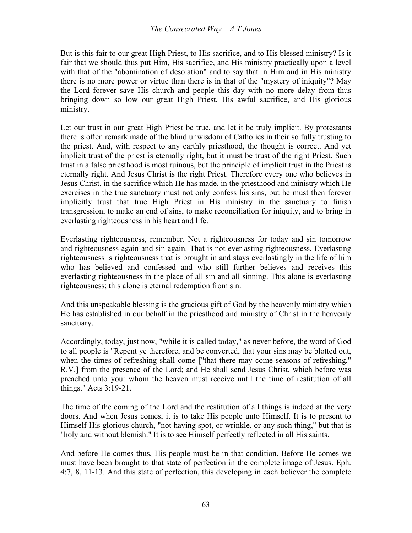But is this fair to our great High Priest, to His sacrifice, and to His blessed ministry? Is it fair that we should thus put Him, His sacrifice, and His ministry practically upon a level with that of the "abomination of desolation" and to say that in Him and in His ministry there is no more power or virtue than there is in that of the "mystery of iniquity"? May the Lord forever save His church and people this day with no more delay from thus bringing down so low our great High Priest, His awful sacrifice, and His glorious ministry.

Let our trust in our great High Priest be true, and let it be truly implicit. By protestants there is often remark made of the blind unwisdom of Catholics in their so fully trusting to the priest. And, with respect to any earthly priesthood, the thought is correct. And yet implicit trust of the priest is eternally right, but it must be trust of the right Priest. Such trust in a false priesthood is most ruinous, but the principle of implicit trust in the Priest is eternally right. And Jesus Christ is the right Priest. Therefore every one who believes in Jesus Christ, in the sacrifice which He has made, in the priesthood and ministry which He exercises in the true sanctuary must not only confess his sins, but he must then forever implicitly trust that true High Priest in His ministry in the sanctuary to finish transgression, to make an end of sins, to make reconciliation for iniquity, and to bring in everlasting righteousness in his heart and life.

Everlasting righteousness, remember. Not a righteousness for today and sin tomorrow and righteousness again and sin again. That is not everlasting righteousness. Everlasting righteousness is righteousness that is brought in and stays everlastingly in the life of him who has believed and confessed and who still further believes and receives this everlasting righteousness in the place of all sin and all sinning. This alone is everlasting righteousness; this alone is eternal redemption from sin.

And this unspeakable blessing is the gracious gift of God by the heavenly ministry which He has established in our behalf in the priesthood and ministry of Christ in the heavenly sanctuary.

Accordingly, today, just now, "while it is called today," as never before, the word of God to all people is "Repent ye therefore, and be converted, that your sins may be blotted out, when the times of refreshing shall come ["that there may come seasons of refreshing." R.V.] from the presence of the Lord; and He shall send Jesus Christ, which before was preached unto you: whom the heaven must receive until the time of restitution of all things." Acts 3:19-21.

The time of the coming of the Lord and the restitution of all things is indeed at the very doors. And when Jesus comes, it is to take His people unto Himself. It is to present to Himself His glorious church, "not having spot, or wrinkle, or any such thing," but that is "holy and without blemish." It is to see Himself perfectly reflected in all His saints.

And before He comes thus, His people must be in that condition. Before He comes we must have been brought to that state of perfection in the complete image of Jesus. Eph. 4:7, 8, 11-13. And this state of perfection, this developing in each believer the complete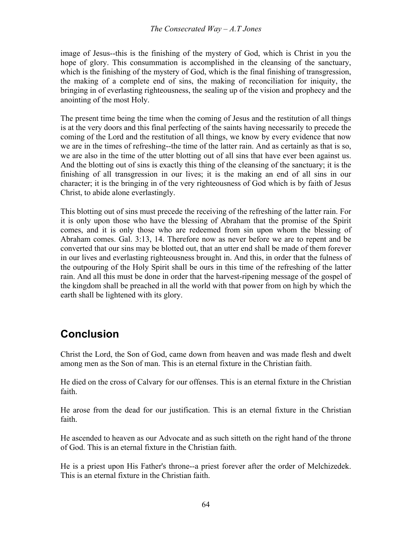image of Jesus--this is the finishing of the mystery of God, which is Christ in you the hope of glory. This consummation is accomplished in the cleansing of the sanctuary, which is the finishing of the mystery of God, which is the final finishing of transgression, the making of a complete end of sins, the making of reconciliation for iniquity, the bringing in of everlasting righteousness, the sealing up of the vision and prophecy and the anointing of the most Holy.

The present time being the time when the coming of Jesus and the restitution of all things is at the very doors and this final perfecting of the saints having necessarily to precede the coming of the Lord and the restitution of all things, we know by every evidence that now we are in the times of refreshing--the time of the latter rain. And as certainly as that is so, we are also in the time of the utter blotting out of all sins that have ever been against us. And the blotting out of sins is exactly this thing of the cleansing of the sanctuary; it is the finishing of all transgression in our lives; it is the making an end of all sins in our character; it is the bringing in of the very righteousness of God which is by faith of Jesus Christ, to abide alone everlastingly.

This blotting out of sins must precede the receiving of the refreshing of the latter rain. For it is only upon those who have the blessing of Abraham that the promise of the Spirit comes, and it is only those who are redeemed from sin upon whom the blessing of Abraham comes. Gal. 3:13, 14. Therefore now as never before we are to repent and be converted that our sins may be blotted out, that an utter end shall be made of them forever in our lives and everlasting righteousness brought in. And this, in order that the fulness of the outpouring of the Holy Spirit shall be ours in this time of the refreshing of the latter rain. And all this must be done in order that the harvest-ripening message of the gospel of the kingdom shall be preached in all the world with that power from on high by which the earth shall be lightened with its glory.

# **Conclusion**

Christ the Lord, the Son of God, came down from heaven and was made flesh and dwelt among men as the Son of man. This is an eternal fixture in the Christian faith.

He died on the cross of Calvary for our offenses. This is an eternal fixture in the Christian faith.

He arose from the dead for our justification. This is an eternal fixture in the Christian faith.

He ascended to heaven as our Advocate and as such sitteth on the right hand of the throne of God. This is an eternal fixture in the Christian faith.

He is a priest upon His Father's throne--a priest forever after the order of Melchizedek. This is an eternal fixture in the Christian faith.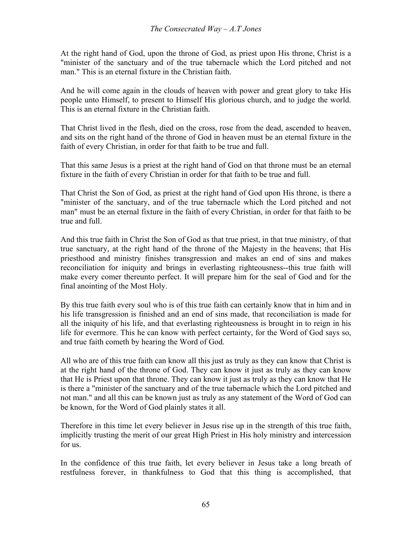At the right hand of God, upon the throne of God, as priest upon His throne, Christ is a "minister of the sanctuary and of the true tabernacle which the Lord pitched and not man." This is an eternal fixture in the Christian faith.

And he will come again in the clouds of heaven with power and great glory to take His people unto Himself, to present to Himself His glorious church, and to judge the world. This is an eternal fixture in the Christian faith.

That Christ lived in the flesh, died on the cross, rose from the dead, ascended to heaven, and sits on the right hand of the throne of God in heaven must be an eternal fixture in the faith of every Christian, in order for that faith to be true and full.

That this same Jesus is a priest at the right hand of God on that throne must be an eternal fixture in the faith of every Christian in order for that faith to be true and full.

That Christ the Son of God, as priest at the right hand of God upon His throne, is there a "minister of the sanctuary, and of the true tabernacle which the Lord pitched and not man" must be an eternal fixture in the faith of every Christian, in order for that faith to be true and full.

And this true faith in Christ the Son of God as that true priest, in that true ministry, of that true sanctuary, at the right hand of the throne of the Majesty in the heavens; that His priesthood and ministry finishes transgression and makes an end of sins and makes reconciliation for iniquity and brings in everlasting righteousness--this true faith will make every comer thereunto perfect. It will prepare him for the seal of God and for the final anointing of the Most Holy.

By this true faith every soul who is of this true faith can certainly know that in him and in his life transgression is finished and an end of sins made, that reconciliation is made for all the iniquity of his life, and that everlasting righteousness is brought in to reign in his life for evermore. This he can know with perfect certainty, for the Word of God says so, and true faith cometh by hearing the Word of God.

All who are of this true faith can know all this just as truly as they can know that Christ is at the right hand of the throne of God. They can know it just as truly as they can know that He is Priest upon that throne. They can know it just as truly as they can know that He is there a "minister of the sanctuary and of the true tabernacle which the Lord pitched and not man." and all this can be known just as truly as any statement of the Word of God can be known, for the Word of God plainly states it all.

Therefore in this time let every believer in Jesus rise up in the strength of this true faith, implicitly trusting the merit of our great High Priest in His holy ministry and intercession for us.

In the confidence of this true faith, let every believer in Jesus take a long breath of restfulness forever, in thankfulness to God that this thing is accomplished, that